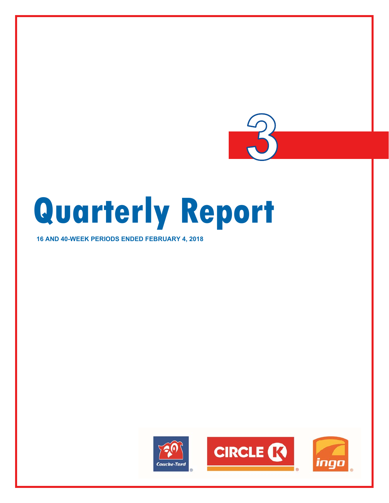

# **Quarterly Report**

# **16 AND 40-WEEK PERIODS ENDED FEBRUARY 4, 2018**

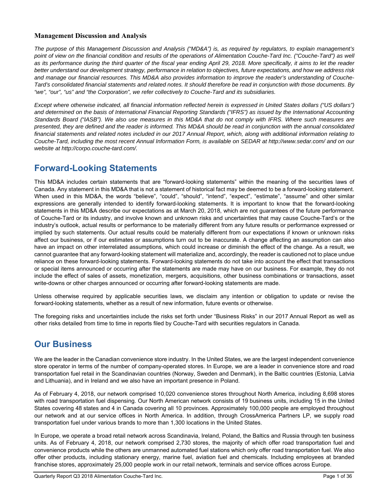# **Management Discussion and Analysis**

*The purpose of this Management Discussion and Analysis ("MD&A") is, as required by regulators, to explain management's point of view on the financial condition and results of the operations of Alimentation Couche-Tard Inc. ("Couche-Tard") as well as its performance during the third quarter of the fiscal year ending April 29, 2018. More specifically, it aims to let the reader better understand our development strategy, performance in relation to objectives, future expectations, and how we address risk and manage our financial resources. This MD&A also provides information to improve the reader's understanding of Couche-Tard's consolidated financial statements and related notes. It should therefore be read in conjunction with those documents. By "we", "our", "us" and "the Corporation", we refer collectively to Couche-Tard and its subsidiaries.* 

*Except where otherwise indicated, all financial information reflected herein is expressed in United States dollars ("US dollars") and determined on the basis of International Financial Reporting Standards ("IFRS") as issued by the International Accounting Standards Board ("IASB"). We also use measures in this MD&A that do not comply with IFRS. Where such measures are presented, they are defined and the reader is informed. This MD&A should be read in conjunction with the annual consolidated financial statements and related notes included in our 2017 Annual Report, which, along with additional information relating to Couche-Tard, including the most recent Annual Information Form, is available on SEDAR at http://www.sedar.com/ and on our website at http://corpo.couche-tard.com/.* 

# **Forward-Looking Statements**

This MD&A includes certain statements that are "forward-looking statements" within the meaning of the securities laws of Canada. Any statement in this MD&A that is not a statement of historical fact may be deemed to be a forward-looking statement. When used in this MD&A, the words "believe", "could", "should", "intend", "expect", "estimate", "assume" and other similar expressions are generally intended to identify forward-looking statements. It is important to know that the forward-looking statements in this MD&A describe our expectations as at March 20, 2018, which are not guarantees of the future performance of Couche-Tard or its industry, and involve known and unknown risks and uncertainties that may cause Couche-Tard's or the industry's outlook, actual results or performance to be materially different from any future results or performance expressed or implied by such statements. Our actual results could be materially different from our expectations if known or unknown risks affect our business, or if our estimates or assumptions turn out to be inaccurate. A change affecting an assumption can also have an impact on other interrelated assumptions, which could increase or diminish the effect of the change. As a result, we cannot guarantee that any forward-looking statement will materialize and, accordingly, the reader is cautioned not to place undue reliance on these forward-looking statements. Forward-looking statements do not take into account the effect that transactions or special items announced or occurring after the statements are made may have on our business. For example, they do not include the effect of sales of assets, monetization, mergers, acquisitions, other business combinations or transactions, asset write-downs or other charges announced or occurring after forward-looking statements are made.

Unless otherwise required by applicable securities laws, we disclaim any intention or obligation to update or revise the forward-looking statements, whether as a result of new information, future events or otherwise.

The foregoing risks and uncertainties include the risks set forth under "Business Risks" in our 2017 Annual Report as well as other risks detailed from time to time in reports filed by Couche-Tard with securities regulators in Canada.

# **Our Business**

We are the leader in the Canadian convenience store industry. In the United States, we are the largest independent convenience store operator in terms of the number of company-operated stores. In Europe, we are a leader in convenience store and road transportation fuel retail in the Scandinavian countries (Norway, Sweden and Denmark), in the Baltic countries (Estonia, Latvia and Lithuania), and in Ireland and we also have an important presence in Poland.

As of February 4, 2018, our network comprised 10,020 convenience stores throughout North America, including 8,698 stores with road transportation fuel dispensing. Our North American network consists of 19 business units, including 15 in the United States covering 48 states and 4 in Canada covering all 10 provinces. Approximately 100,000 people are employed throughout our network and at our service offices in North America. In addition, through CrossAmerica Partners LP, we supply road transportation fuel under various brands to more than 1,300 locations in the United States.

In Europe, we operate a broad retail network across Scandinavia, Ireland, Poland, the Baltics and Russia through ten business units. As of February 4, 2018, our network comprised 2,730 stores, the majority of which offer road transportation fuel and convenience products while the others are unmanned automated fuel stations which only offer road transportation fuel. We also offer other products, including stationary energy, marine fuel, aviation fuel and chemicals. Including employees at branded franchise stores, approximately 25,000 people work in our retail network, terminals and service offices across Europe.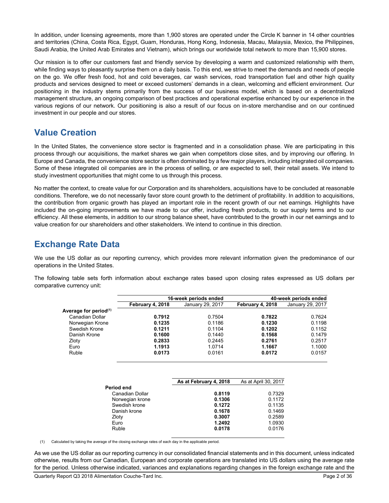In addition, under licensing agreements, more than 1,900 stores are operated under the Circle K banner in 14 other countries and territories (China, Costa Rica, Egypt, Guam, Honduras, Hong Kong, Indonesia, Macau, Malaysia, Mexico, the Philippines, Saudi Arabia, the United Arab Emirates and Vietnam), which brings our worldwide total network to more than 15,900 stores.

Our mission is to offer our customers fast and friendly service by developing a warm and customized relationship with them, while finding ways to pleasantly surprise them on a daily basis. To this end, we strive to meet the demands and needs of people on the go. We offer fresh food, hot and cold beverages, car wash services, road transportation fuel and other high quality products and services designed to meet or exceed customers' demands in a clean, welcoming and efficient environment. Our positioning in the industry stems primarily from the success of our business model, which is based on a decentralized management structure, an ongoing comparison of best practices and operational expertise enhanced by our experience in the various regions of our network. Our positioning is also a result of our focus on in-store merchandise and on our continued investment in our people and our stores.

# **Value Creation**

In the United States, the convenience store sector is fragmented and in a consolidation phase. We are participating in this process through our acquisitions, the market shares we gain when competitors close sites, and by improving our offering. In Europe and Canada, the convenience store sector is often dominated by a few major players, including integrated oil companies. Some of these integrated oil companies are in the process of selling, or are expected to sell, their retail assets. We intend to study investment opportunities that might come to us through this process.

No matter the context, to create value for our Corporation and its shareholders, acquisitions have to be concluded at reasonable conditions. Therefore, we do not necessarily favor store count growth to the detriment of profitability. In addition to acquisitions, the contribution from organic growth has played an important role in the recent growth of our net earnings. Highlights have included the on-going improvements we have made to our offer, including fresh products, to our supply terms and to our efficiency. All these elements, in addition to our strong balance sheet, have contributed to the growth in our net earnings and to value creation for our shareholders and other stakeholders. We intend to continue in this direction.

# **Exchange Rate Data**

We use the US dollar as our reporting currency, which provides more relevant information given the predominance of our operations in the United States.

The following table sets forth information about exchange rates based upon closing rates expressed as US dollars per comparative currency unit:

|                                   |                  | 16-week periods ended  |                      | 40-week periods ended |
|-----------------------------------|------------------|------------------------|----------------------|-----------------------|
|                                   | February 4, 2018 | January 29, 2017       | February 4, 2018     | January 29, 2017      |
| Average for period <sup>(1)</sup> |                  |                        |                      |                       |
| Canadian Dollar                   | 0.7912           | 0.7504                 | 0.7822               | 0.7624                |
| Norwegian Krone                   | 0.1235           | 0.1186                 | 0.1230               | 0.1198                |
| Swedish Krone                     | 0.1211           | 0.1104                 | 0.1202               | 0.1152                |
| Danish Krone                      | 0.1600           | 0.1440                 | 0.1568               | 0.1479                |
| Zloty                             | 0.2833           | 0.2445                 | 0.2761               | 0.2517                |
| Euro                              | 1.1913           | 1.0714                 | 1.1667               | 1.1000                |
| Ruble                             | 0.0173           | 0.0161                 | 0.0172               | 0.0157                |
|                                   |                  |                        |                      |                       |
|                                   |                  | As at February 4, 2018 | As at April 30, 2017 |                       |
| Period end                        | Canadian Dollar  | 0.8119                 | 0.7329               |                       |
|                                   |                  | - ----                 |                      |                       |

| Period end      |        |        |
|-----------------|--------|--------|
| Canadian Dollar | 0.8119 | 0.7329 |
| Norwegian krone | 0.1306 | 0.1172 |
| Swedish krone   | 0.1272 | 0.1135 |
| Danish krone    | 0.1678 | 0.1469 |
| Zloty           | 0.3007 | 0.2589 |
| Euro            | 1.2492 | 1.0930 |
| Ruble           | 0.0178 | 0.0176 |
|                 |        |        |

(1) Calculated by taking the average of the closing exchange rates of each day in the applicable period.

As we use the US dollar as our reporting currency in our consolidated financial statements and in this document, unless indicated otherwise, results from our Canadian, European and corporate operations are translated into US dollars using the average rate for the period. Unless otherwise indicated, variances and explanations regarding changes in the foreign exchange rate and the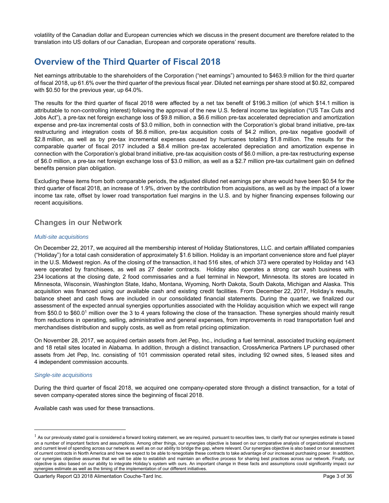volatility of the Canadian dollar and European currencies which we discuss in the present document are therefore related to the translation into US dollars of our Canadian, European and corporate operations' results.

# **Overview of the Third Quarter of Fiscal 2018**

Net earnings attributable to the shareholders of the Corporation ("net earnings") amounted to \$463.9 million for the third quarter of fiscal 2018, up 61.6% over the third quarter of the previous fiscal year. Diluted net earnings per share stood at \$0.82, compared with \$0.50 for the previous year, up 64.0%.

The results for the third quarter of fiscal 2018 were affected by a net tax benefit of \$196.3 million (of which \$14.1 million is attributable to non-controlling interest) following the approval of the new U.S. federal income tax legislation ("US Tax Cuts and Jobs Act"), a pre-tax net foreign exchange loss of \$9.8 million, a \$6.6 million pre-tax accelerated depreciation and amortization expense and pre-tax incremental costs of \$3.0 million, both in connection with the Corporation's global brand initiative, pre-tax restructuring and integration costs of \$6.8 million, pre-tax acquisition costs of \$4.2 million, pre-tax negative goodwill of \$2.8 million, as well as by pre-tax incremental expenses caused by hurricanes totaling \$1.8 million. The results for the comparable quarter of fiscal 2017 included a \$8.4 million pre-tax accelerated depreciation and amortization expense in connection with the Corporation's global brand initiative, pre-tax acquisition costs of \$6.0 million, a pre-tax restructuring expense of \$6.0 million, a pre-tax net foreign exchange loss of \$3.0 million, as well as a \$2.7 million pre-tax curtailment gain on defined benefits pension plan obligation.

Excluding these items from both comparable periods, the adjusted diluted net earnings per share would have been \$0.54 for the third quarter of fiscal 2018, an increase of 1.9%, driven by the contribution from acquisitions, as well as by the impact of a lower income tax rate, offset by lower road transportation fuel margins in the U.S. and by higher financing expenses following our recent acquisitions.

# **Changes in our Network**

#### *Multi-site acquisitions*

On December 22, 2017, we acquired all the membership interest of Holiday Stationstores, LLC. and certain affiliated companies ("Holiday") for a total cash consideration of approximately \$1.6 billion. Holiday is an important convenience store and fuel player in the U.S. Midwest region. As of the closing of the transaction, it had 516 sites, of which 373 were operated by Holiday and 143 were operated by franchisees, as well as 27 dealer contracts. Holiday also operates a strong car wash business with 234 locations at the closing date, 2 food commissaries and a fuel terminal in Newport, Minnesota. Its stores are located in Minnesota, Wisconsin, Washington State, Idaho, Montana, Wyoming, North Dakota, South Dakota, Michigan and Alaska. This acquisition was financed using our available cash and existing credit facilities. From December 22, 2017, Holiday's results, balance sheet and cash flows are included in our consolidated financial statements. During the quarter, we finalized our assessment of the expected annual synergies opportunities associated with the Holiday acquisition which we expect will range from \$50.0 to \$60.01 million over the 3 to 4 years following the close of the transaction. These synergies should mainly result from reductions in operating, selling, administrative and general expenses, from improvements in road transportation fuel and merchandises distribution and supply costs, as well as from retail pricing optimization.

On November 28, 2017, we acquired certain assets from Jet Pep, Inc., including a fuel terminal, associated trucking equipment and 18 retail sites located in Alabama. In addition, through a distinct transaction, CrossAmerica Partners LP purchased other assets from Jet Pep, Inc. consisting of 101 commission operated retail sites, including 92 owned sites, 5 leased sites and 4 i**n**dependent commission accounts.

#### *Single-site acquisitions*

 $\overline{a}$ 

During the third quarter of fiscal 2018, we acquired one company-operated store through a distinct transaction, for a total of seven company-operated stores since the beginning of fiscal 2018.

Available cash was used for these transactions.

Quarterly Report Q3 2018 Alimentation Couche-Tard Inc. **Page 3 of 36** and 2011 12:30 and 2013 12:30 Page 3 of 36

 $<sup>1</sup>$  As our previously stated goal is considered a forward looking statement, we are required, pursuant to securities laws, to clarify that our synergies estimate is based</sup> on a number of important factors and assumptions. Among other things, our synergies objective is based on our comparative analysis of organizational structures and current level of spending across our network as well as on our ability to bridge the gap, where relevant. Our synergies objective is also based on our assessment of current contracts in North America and how we expect to be able to renegotiate these contracts to take advantage of our increased purchasing power. In addition, our synergies objective assumes that we will be able to establish and maintain an effective process for sharing best practices across our network. Finally, our objective is also based on our ability to integrate Holiday's system with ours. An important change in these facts and assumptions could significantly impact our synergies estimate as well as the timing of the implementation of our different initiatives.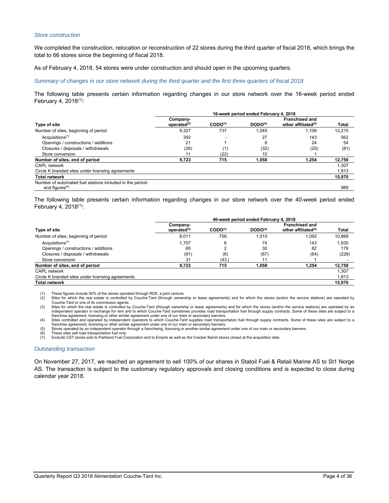#### *Store construction*

We completed the construction, relocation or reconstruction of 22 stores during the third quarter of fiscal 2018, which brings the total to 66 stores since the beginning of fiscal 2018.

As of February 4, 2018, 54 stores were under construction and should open in the upcoming quarters.

#### *Summary of changes in our store network during the third quarter and the first three quarters of fiscal 2018*

The following table presents certain information regarding changes in our store network over the 16-week period ended February 4, 2018<sup>(1)</sup>:

|                                                                                | 16-week period ended February 4, 2018 |                     |                     |                                                          |              |  |
|--------------------------------------------------------------------------------|---------------------------------------|---------------------|---------------------|----------------------------------------------------------|--------------|--|
| Type of site                                                                   | Company-<br>operated $(2)$            | CODO <sup>(3)</sup> | DODO <sup>(4)</sup> | <b>Franchised and</b><br>other affiliated <sup>(5)</sup> | <b>Total</b> |  |
| Number of sites, beginning of period                                           | 9,327                                 | 737                 | 1.045               | 1.106                                                    | 12.215       |  |
| Acquisitions <sup><math>(7)</math></sup>                                       | 392                                   |                     | 27                  | 143                                                      | 562          |  |
| Openings / constructions / additions                                           | 21                                    |                     | 8                   | 24                                                       | 54           |  |
| Closures / disposals / withdrawals                                             | (28)                                  | (1)                 | (32)                | (20)                                                     | (81)         |  |
| Store conversion                                                               | 11                                    | (22)                | 10                  |                                                          |              |  |
| Number of sites, end of period                                                 | 9,723                                 | 715                 | 1.058               | 1.254                                                    | 12.750       |  |
| CAPL network                                                                   |                                       |                     |                     |                                                          | 1.307        |  |
| Circle K branded sites under licensing agreements                              |                                       |                     |                     |                                                          | 1.913        |  |
| <b>Total network</b>                                                           |                                       |                     |                     |                                                          | 15,970       |  |
| Number of automated fuel stations included in the period-<br>end figures $(6)$ |                                       |                     |                     |                                                          | 989          |  |

The following table presents certain information regarding changes in our store network over the 40-week period ended February 4, 2018(1):

|                                                   | 40-week period ended February 4, 2018 |                     |                     |                                                          |              |  |  |
|---------------------------------------------------|---------------------------------------|---------------------|---------------------|----------------------------------------------------------|--------------|--|--|
| <b>Type of site</b>                               | Company-<br>operated $(2)$            | CODO <sup>(3)</sup> | DODO <sup>(4)</sup> | <b>Franchised and</b><br>other affiliated <sup>(5)</sup> | <b>Total</b> |  |  |
| Number of sites, beginning of period              | 8.011                                 | 756                 | 1.010               | 1.092                                                    | 10.869       |  |  |
| Acquisitions $(7)$                                | 1.707                                 | 6                   | 74                  | 143                                                      | 1.930        |  |  |
| Openings / constructions / additions              | 65                                    |                     | 30                  | 82                                                       | 179          |  |  |
| Closures / disposals / withdrawals                | (91)                                  | (6)                 | (67)                | (64)                                                     | (228)        |  |  |
| Store conversion                                  | 31                                    | (43)                |                     |                                                          |              |  |  |
| Number of sites, end of period                    | 9.723                                 | 715                 | 1,058               | 1.254                                                    | 12,750       |  |  |
| CAPL network                                      |                                       |                     |                     |                                                          | 1.307        |  |  |
| Circle K branded sites under licensing agreements |                                       |                     |                     |                                                          | 1.913        |  |  |
| <b>Total network</b>                              |                                       |                     |                     |                                                          | 15.970       |  |  |

(1) These figures include 50% of the stores operated through RDK, a joint venture.

(2) Sites for which the real estate is controlled by Couche-Tard (through ownership or lease agreements) and for which the stores (and/or the service stations) are operated by Couche-Tard or one of its commission agents.<br>(3) Sites for which the real estate is controlled by Couche-Tard (through ownership or lease agreements) and for which the stores (and/or the service stations) are operated by a

independent operator in exchange for rent and to which Couche-Tard sometimes provides road transportation fuel through supply contracts. Some of these sites are subject to a<br>franchise agreement, licensing or other similar

(4) Sites controlled and operated by independent operators to which Couche-Tard supplies road transportation fuel through supply contracts. Some of these sites are subject to a franchise agreement, licensing or other similar agreement under one of our main or secondary banners.<br>(5) Stores operated by an independent operator through a franchising, licensing or another similar agreement under one o

(6) These sites sell road transportation fuel only. (7) Exclude CST stores sold to Parkland Fuel Corporation and to Empire as well as the Cracker Barrel stores closed at the acquisition date.

#### *Outstanding transaction*

On November 27, 2017, we reached an agreement to sell 100% of our shares in Statoil Fuel & Retail Marine AS to St1 Norge AS. The transaction is subject to the customary regulatory approvals and closing conditions and is expected to close during calendar year 2018.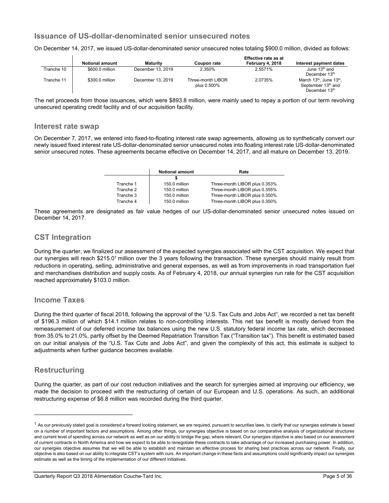# **Issuance of US-dollar-denominated senior unsecured notes**

On December 14, 2017, we issued US-dollar-denominated senior unsecured notes totaling \$900.0 million, divided as follows:

|            |                        |                   |                                  | Effective rate as at |                                                                           |
|------------|------------------------|-------------------|----------------------------------|----------------------|---------------------------------------------------------------------------|
|            | <b>Notional amount</b> | <b>Maturity</b>   | Coupon rate                      | February 4, 2018     | Interest payment dates                                                    |
| Tranche 10 | \$600.0 million        | December 13, 2019 | 2.350%                           | 2.5571%              | June $13th$ and<br>December 13th                                          |
| Tranche 11 | \$300.0 million        | December 13, 2019 | Three-month LIBOR<br>plus 0.500% | 2.0735%              | March 13th, June 13th.<br>September 13 <sup>th</sup> and<br>December 13th |

The net proceeds from those issuances, which were \$893.8 million, were mainly used to repay a portion of our term revolving unsecured operating credit facility and of our acquisition facility.

#### **Interest rate swap**

On December 7, 2017, we entered into fixed-to-floating interest rate swap agreements, allowing us to synthetically convert our newly issued fixed interest rate US-dollar-denominated senior unsecured notes into floating interest rate US-dollar-denominated senior unsecured notes. These agreements became effective on December 14, 2017, and all mature on December 13, 2019.

|           | <b>Notional amount</b> | Rate                          |
|-----------|------------------------|-------------------------------|
|           |                        |                               |
| Tranche 1 | 150.0 million          | Three-month LIBOR plus 0.353% |
| Tranche 2 | 150.0 million          | Three-month LIBOR plus 0.355% |
| Tranche 3 | 150.0 million          | Three-month LIBOR plus 0.350% |
| Tranche 4 | 150.0 million          | Three-month LIBOR plus 0.350% |

These agreements are designated as fair value hedges of our US-dollar-denominated senior unsecured notes issued on December 14, 2017.

# **CST Integration**

During the quarter, we finalized our assessment of the expected synergies associated with the CST acquisition. We expect that our synergies will reach \$215.0<sup>1</sup> million over the 3 years following the transaction. These synergies should mainly result from reductions in operating, selling, administrative and general expenses, as well as from improvements in road transportation fuel and merchandises distribution and supply costs. As of February 4, 2018, our annual synergies run rate for the CST acquisition reached approximately \$103.0 million.

# **Income Taxes**

During the third quarter of fiscal 2018, following the approval of the "U.S. Tax Cuts and Jobs Act", we recorded a net tax benefit of \$196.3 million of which \$14.1 million relates to non-controlling interests. This net tax benefit is mostly derived from the remeasurement of our deferred income tax balances using the new U.S. statutory federal income tax rate, which decreased from 35.0% to 21.0%, partly offset by the Deemed Repatriation Transition Tax ("Transition tax"). This benefit is estimated based on our initial analysis of the "U.S. Tax Cuts and Jobs Act", and given the complexity of this act, this estimate is subject to adjustments when further quidance becomes available.

# **Restructuring**

During the quarter, as part of our cost reduction initiatives and the search for synergies aimed at improving our efficiency, we made the decision to proceed with the restructuring of certain of our European and U.S. operations. As such, an additional restructuring expense of \$6.8 million was recorded during the third quarter.

 $\mathcal{L}_\text{max}$  , where  $\mathcal{L}_\text{max}$  and  $\mathcal{L}_\text{max}$ 

 $^1$  As our previously stated goal is considered a forward looking statement, we are required, pursuant to securities laws, to clarify that our synergies estimate is based on a number of important factors and assumptions. Among other things, our synergies objective is based on our comparative analysis of organizational structures and current level of spending across our network as well as on our ability to bridge the gap, where relevant. Our synergies objective is also based on our assessment of current contracts in North America and how we expect to be able to renegotiate these contracts to take advantage of our increased purchasing power. In addition, our synergies objective assumes that we will be able to establish and maintain an effective process for sharing best practices across our network. Finally, our objective is also based on our ability to integrate CST's system with ours. An important change in these facts and assumptions could significantly impact our synergies estimate as well as the timing of the implementation of our different initiatives.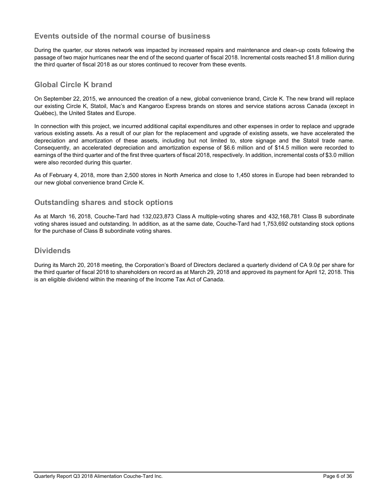# **Events outside of the normal course of business**

During the quarter, our stores network was impacted by increased repairs and maintenance and clean-up costs following the passage of two major hurricanes near the end of the second quarter of fiscal 2018. Incremental costs reached \$1.8 million during the third quarter of fiscal 2018 as our stores continued to recover from these events.

# **Global Circle K brand**

On September 22, 2015, we announced the creation of a new, global convenience brand, Circle K. The new brand will replace our existing Circle K, Statoil, Mac's and Kangaroo Express brands on stores and service stations across Canada (except in Québec), the United States and Europe.

In connection with this project, we incurred additional capital expenditures and other expenses in order to replace and upgrade various existing assets. As a result of our plan for the replacement and upgrade of existing assets, we have accelerated the depreciation and amortization of these assets, including but not limited to, store signage and the Statoil trade name. Consequently, an accelerated depreciation and amortization expense of \$6.6 million and of \$14.5 million were recorded to earnings of the third quarter and of the first three quarters of fiscal 2018, respectively. In addition, incremental costs of \$3.0 million were also recorded during this quarter.

As of February 4, 2018, more than 2,500 stores in North America and close to 1,450 stores in Europe had been rebranded to our new global convenience brand Circle K.

# **Outstanding shares and stock options**

As at March 16, 2018, Couche-Tard had 132,023,873 Class A multiple-voting shares and 432,168,781 Class B subordinate voting shares issued and outstanding. In addition, as at the same date, Couche-Tard had 1,753,692 outstanding stock options for the purchase of Class B subordinate voting shares.

# **Dividends**

During its March 20, 2018 meeting, the Corporation's Board of Directors declared a quarterly dividend of CA 9.0¢ per share for the third quarter of fiscal 2018 to shareholders on record as at March 29, 2018 and approved its payment for April 12, 2018. This is an eligible dividend within the meaning of the Income Tax Act of Canada.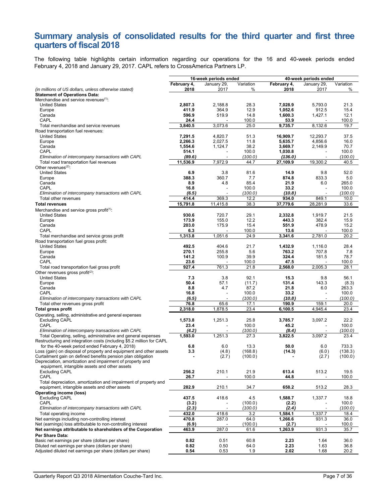# **Summary analysis of consolidated results for the third quarter and first three quarters of fiscal 2018**

The following table highlights certain information regarding our operations for the 16 and 40-week periods ended February 4, 2018 and January 29, 2017. CAPL refers to CrossAmerica Partners LP.

|                                                                                                                                        |                  | 16-week periods ended |                  | 40-week periods ended |                       |                  |
|----------------------------------------------------------------------------------------------------------------------------------------|------------------|-----------------------|------------------|-----------------------|-----------------------|------------------|
|                                                                                                                                        | February 4,      | January 29,           | Variation        | February 4,           | January 29,           | Variation        |
| (in millions of US dollars, unless otherwise stated)                                                                                   | 2018             | 2017                  | %                | 2018                  | 2017                  | %                |
| <b>Statement of Operations Data:</b>                                                                                                   |                  |                       |                  |                       |                       |                  |
| Merchandise and service revenues <sup>(1)</sup> :                                                                                      |                  |                       |                  |                       |                       |                  |
| <b>United States</b><br>Europe                                                                                                         | 2,807.3<br>411.9 | 2,188.8<br>364.9      | 28.3<br>12.9     | 7,028.9<br>1,052.6    | 5,793.0<br>912.5      | 21.3<br>15.4     |
| Canada                                                                                                                                 | 596.9            | 519.9                 | 14.8             | 1,600.3               | 1,427.1               | 12.1             |
| CAPL                                                                                                                                   | 24.4             |                       | 100.0            | 53.9                  |                       | 100.0            |
| Total merchandise and service revenues                                                                                                 | 3,840.5          | 3,073.6               | 25.0             | 9,735.7               | 8,132.6               | 19.7             |
| Road transportation fuel revenues:                                                                                                     |                  |                       |                  |                       |                       |                  |
| <b>United States</b>                                                                                                                   | 7,291.5          | 4,820.7               | 51.3             | 16,909.7              | 12,293.7              | 37.5             |
| Europe                                                                                                                                 | 2,266.3          | 2,027.5               | 11.8             | 5,635.7               | 4,856.6               | 16.0             |
| Canada                                                                                                                                 | 1,554.6          | 1,124.7               | 38.2             | 3,669.7               | 2,149.9               | 70.7             |
| CAPL<br>Elimination of intercompany transactions with CAPL                                                                             | 514.1<br>(89.6)  |                       | 100.0<br>(100.0) | 1,030.8<br>(136.0)    |                       | 100.0<br>(100.0) |
| Total road transportation fuel revenues                                                                                                | 11,536.9         | 7,972.9               | 44.7             | 27,109.9              | 19,300.2              | 40.5             |
| Other revenues $(2)$ :                                                                                                                 |                  |                       |                  |                       |                       |                  |
| <b>United States</b>                                                                                                                   | 6.9              | 3.8                   | 81.6             | 14.9                  | 9.8                   | 52.0             |
| Europe                                                                                                                                 | 388.3            | 360.7                 | 7.7              | 874.8                 | 833.3                 | 5.0              |
| Canada                                                                                                                                 | 8.9              | 4.8                   | 85.4             | 21.9                  | 6.0                   | 265.0            |
| CAPL                                                                                                                                   | 16.8             |                       | 100.0            | 33.2                  |                       | 100.0            |
| Elimination of intercompany transactions with CAPL<br>Total other revenues                                                             | (6.5)<br>414.4   | 369.3                 | (100.0)<br>12.2  | (10.8)<br>934.0       | 849.1                 | (100.0)<br>10.0  |
| <b>Total revenues</b>                                                                                                                  | 15,791.8         | 11,415.8              | 38.3             | 37,779.6              | 28,281.9              | 33.6             |
| Merchandise and service gross profit <sup>(1)</sup> :                                                                                  |                  |                       |                  |                       |                       |                  |
| <b>United States</b>                                                                                                                   | 930.6            | 720.7                 | 29.1             | 2,332.8               | 1,919.7               | 21.5             |
| Europe                                                                                                                                 | 173.9            | 155.0                 | 12.2             | 443.3                 | 382.4                 | 15.9             |
| Canada                                                                                                                                 | 203.0            | 175.9                 | 15.4             | 551.9                 | 478.9                 | 15.2             |
| CAPL                                                                                                                                   | 6.3              |                       | 100.0            | 13.6                  |                       | 100.0            |
| Total merchandise and service gross profit                                                                                             | 1,313.8          | 1,051.6               | 24.9             | 3,341.6               | 2,781.0               | 20.2             |
| Road transportation fuel gross profit:                                                                                                 | 492.5            |                       |                  |                       |                       |                  |
| <b>United States</b><br>Europe                                                                                                         | 270.1            | 404.6<br>255.8        | 21.7<br>5.6      | 1,432.9<br>763.2      | 1,116.0<br>707.8      | 28.4<br>7.8      |
| Canada                                                                                                                                 | 141.2            | 100.9                 | 39.9             | 324.4                 | 181.5                 | 78.7             |
| CAPL                                                                                                                                   | 23.6             |                       | 100.0            | 47.5                  |                       | 100.0            |
| Total road transportation fuel gross profit                                                                                            | 927.4            | 761.3                 | 21.8             | 2,568.0               | 2,005.3               | 28.1             |
| Other revenues gross profit $(2)$ :                                                                                                    |                  |                       |                  |                       |                       |                  |
| <b>United States</b>                                                                                                                   | 7.3              | 3.8                   | 92.1             | 15.3                  | 9.8                   | 56.1             |
| Europe                                                                                                                                 | 50.4             | 57.1                  | (11.7)           | 131.4                 | 143.3                 | (8.3)            |
| Canada<br>CAPL                                                                                                                         | 8.8<br>16.8      | 4.7                   | 87.2<br>100.0    | 21.8<br>33.2          | 6.0                   | 263.3<br>100.0   |
| Elimination of intercompany transactions with CAPL                                                                                     | (6.5)            |                       | (100.0)          | (10.8)                |                       | (100.0)          |
| Total other revenues gross profit                                                                                                      | 76.8             | 65.6                  | 17.1             | 190.9                 | 159.1                 | 20.0             |
| <b>Total gross profit</b>                                                                                                              | 2,318.0          | 1,878.5               | 23.4             | 6,100.5               | 4,945.4               | 23.4             |
| Operating, selling, administrative and general expenses                                                                                |                  |                       |                  |                       |                       |                  |
| <b>Excluding CAPL</b>                                                                                                                  | 1,573.8          | 1,251.3               | 25.8             | 3,785.7               | 3,097.2               | 22.2             |
| CAPL                                                                                                                                   | 23.4             |                       | 100.0            | 45.2                  |                       | 100.0            |
| Elimination of intercompany transactions with CAPL                                                                                     | (4.2)            |                       | (100.0)          | (8.4)                 |                       | (100.0)          |
| Total Operating, selling, administrative and general expenses<br>Restructuring and integration costs (including \$5.2 million for CAPL | 1.593.0          | 1,251.3               | 27.3             | 3,822.5               | 3,097.2               | 23.4             |
| for the 40-week period ended February 4, 2018)                                                                                         | 6.8              | 6.0                   | 13.3             | 50.0                  | 6.0                   | 733.3            |
| Loss (gain) on disposal of property and equipment and other assets                                                                     | 3.3              | (4.8)                 | (168.8)          | (14.3)                | (6.0)                 | (138.3)          |
| Curtailment gain on defined benefits pension plan obligation                                                                           | $\blacksquare$   | (2.7)                 | (100.0)          |                       | (2.7)                 | (100.0)          |
| Depreciation, amortization and impairment of property and                                                                              |                  |                       |                  |                       |                       |                  |
| equipment, intangible assets and other assets                                                                                          |                  |                       |                  |                       |                       |                  |
| <b>Excluding CAPL</b><br>CAPL                                                                                                          | 256.2<br>26.7    | 210.1                 | 21.9<br>100.0    | 613.4<br>44.8         | 513.2                 | 19.5<br>100.0    |
| Total depreciation, amortization and impairment of property and                                                                        |                  |                       |                  |                       |                       |                  |
| equipment, intangible assets and other assets                                                                                          | 282.9            | 210.1                 | 34.7             | 658.2                 | 513.2                 | 28.3             |
| <b>Operating income (loss)</b>                                                                                                         |                  |                       |                  |                       |                       |                  |
| <b>Excluding CAPL</b>                                                                                                                  | 437.5            | 418.6                 | 4.5              | 1,588.7               | 1,337.7               | 18.8             |
| CAPL                                                                                                                                   | (3.2)            |                       | (100.0)          | (2.2)                 |                       | 100.0            |
| Elimination of intercompany transactions with CAPL                                                                                     | (2.3)            | ٠                     | (100.0)          | (2.4)                 | $\tilde{\phantom{a}}$ | (100.0)          |
| Total operating income                                                                                                                 | 432.0            | 418.6                 | 3.2              | 1,584.1               | 1,337.7               | 18.4             |
| Net earnings including non-controlling interest<br>Net (earnings) loss attributable to non-controlling interest                        | 470.8<br>(6.9)   | 287.0                 | 64.0<br>(100.0)  | 1,266.6               | 931.3                 | 36.0<br>100.0    |
| Net earnings attributable to shareholders of the Corporation                                                                           | 463.9            | 287.0                 | 61.6             | (2.7)<br>1,263.9      | 931.3                 | 35.7             |
| Per Share Data:                                                                                                                        |                  |                       |                  |                       |                       |                  |
| Basic net earnings per share (dollars per share)                                                                                       | 0.82             | 0.51                  | 60.8             | 2.23                  | 1.64                  | 36.0             |
| Diluted net earnings per share (dollars per share)                                                                                     | 0.82             | 0.50                  | 64.0             | 2.23                  | 1.63                  | 36.8             |
| Adjusted diluted net earnings per share (dollars per share)                                                                            | 0.54             | 0.53                  | 1.9              | 2.02                  | 1.68                  | 20.2             |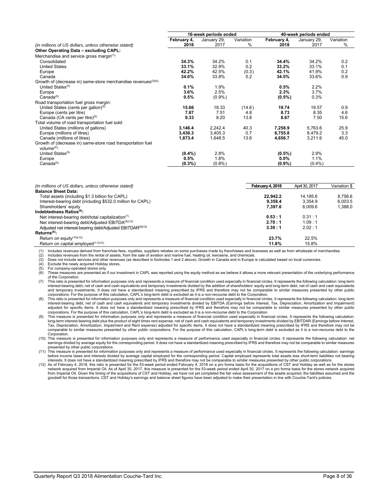|                                                                             | 16-week periods ended |             |           | 40-week periods ended |             |           |
|-----------------------------------------------------------------------------|-----------------------|-------------|-----------|-----------------------|-------------|-----------|
|                                                                             | February 4,           | January 29, | Variation | February 4,           | January 29, | Variation |
| (in millions of US dollars, unless otherwise stated)                        | 2018                  | 2017        | $\%$      | 2018                  | 2017        | $\%$      |
| Other Operating Data - excluding CAPL:                                      |                       |             |           |                       |             |           |
| Merchandise and service gross margin <sup>(1)</sup> :                       |                       |             |           |                       |             |           |
| Consolidated                                                                | 34.3%                 | 34.2%       | 0.1       | 34.4%                 | 34.2%       | 0.2       |
| <b>United States</b>                                                        | 33.1%                 | 32.9%       | 0.2       | 33.2%                 | 33.1%       | 0.1       |
| Europe                                                                      | 42.2%                 | 42.5%       | (0.3)     | 42.1%                 | 41.9%       | 0.2       |
| Canada                                                                      | 34.0%                 | 33.8%       | 0.2       | 34.5%                 | 33.6%       | 0.9       |
| Growth of (decrease in) same-store merchandise revenues <sup>(3)(4)</sup> : |                       |             |           |                       |             |           |
| United States <sup>(5)</sup>                                                | 0.1%                  | 1.9%        |           | 0.5%                  | 2.2%        |           |
| Europe                                                                      | 3.6%                  | 2.5%        |           | 2.3%                  | 3.7%        |           |
| Canada <sup>(5)</sup>                                                       | 0.5%                  | $(0.9\%)$   |           | $(0.5\%)$             | 0.3%        |           |
| Road transportation fuel gross margin:                                      |                       |             |           |                       |             |           |
| United States (cents per gallon) <sup>(5)</sup>                             | 15.66                 | 18.33       | (14.6)    | 19.74                 | 19.57       | 0.9       |
| Europe (cents per litre)                                                    | 7.87                  | 7.51        | 4.8       | 8.73                  | 8.35        | 4.6       |
| Canada (CA cents per litre)(5)                                              | 9.33                  | 8.20        | 13.8      | 8.67                  | 7.50        | 15.6      |
| Total volume of road transportation fuel sold:                              |                       |             |           |                       |             |           |
| United States (millions of gallons)                                         | 3,146.4               | 2,242.4     | 40.3      | 7,258.9               | 5,763.6     | 25.9      |
| Europe (millions of litres)                                                 | 3,430.3               | 3,405.3     | 0.7       | 8.755.8               | 8,479.2     | 3.3       |
| Canada (millions of litres)                                                 | 1,873.4               | 1,648.5     | 13.6      | 4,656.7               | 3,211.6     | 45.0      |
| Growth of (decrease in) same-store road transportation fuel                 |                       |             |           |                       |             |           |
| volume $(4)$ :                                                              |                       |             |           |                       |             |           |
| United States <sup>(5)</sup>                                                | $(0.4\%)$             | 2.8%        |           | $(0.5\%)$             | 2.9%        |           |
| Europe                                                                      | 0.5%                  | 1.8%        |           | $0.0\%$               | 1.1%        |           |
| Canada <sup>(5)</sup>                                                       | $(0.3\%)$             | (0.8%       |           | $(0.9\%)$             | $(0.4\%)$   |           |

| (in millions of US dollars, unless otherwise stated)                   | February 4, 2018 | April 30, 2017 | Variation \$ |
|------------------------------------------------------------------------|------------------|----------------|--------------|
| <b>Balance Sheet Data:</b>                                             |                  |                |              |
| Total assets (including \$1.3 billion for CAPL)                        | 22.942.2         | 14.185.6       | 8.756.6      |
| Interest-bearing debt (including \$532.0 million for CAPL)             | 9.358.4          | 3.354.9        | 6.003.5      |
| Shareholders' equity                                                   | 7.397.6          | 6.009.6        | 1.388.0      |
| Indebtedness Ratios(6):                                                |                  |                |              |
| Net interest-bearing debt/total capitalization(7)                      | 0.53:1           | 0.31 : 1       |              |
| Net interest-bearing debt/Adjusted EBITDA <sup>(8)(12)</sup>           | 2.70:1           | 1.09:1         |              |
| Adjusted net interest-bearing debt/Adjusted EBITDAR <sup>(9)(12)</sup> | 3.39:1           | 2.02 : 1       |              |
| $Returns(6)$ :                                                         |                  |                |              |
| Return on equity $(10)(12)$                                            | 23.7%            | 22.5%          |              |
| Return on capital employed $(11)(12)$                                  | 11.8%            | 15.8%          |              |

(1) Includes revenues derived from franchise fees, royalties, suppliers rebates on some purchases made by franchisees and licensees as well as from wholesale of merchandise.

(2) Includes revenues from the rental of assets, from the sale of aviation and marine fuel, heating oil, kerosene, and chemicals.<br>(3) Does not include services and other revenues (as described in footnotes 1 and 2 above).

Does not include services and other revenues (as described in footnotes 1 and 2 above). Growth in Canada and in Europe is calculated based on local currencies.

Exclude the newly acquired Holiday stores.

 $(5)$  For company-operated stores only.<br> $(6)$  These measures are presented as

(6) These measures are presented as if our investment in CAPL was reported using the equity method as we believe it allows a more relevant presentation of the underlying performance of the Corporation.

(7) This ratio is presented for information purposes only and represents a measure of financial condition used especially in financial circles. It represents the following calculation: long-term interest-bearing debt, net of cash and cash equivalents and temporary investments divided by the addition of shareholders' equity and long-term debt, net of cash and cash equivalents<br>and temporary investments. It does not corporations. For the purpose of this calculation, CAPL's long-term debt is excluded as it is a non-recourse debt to the Corporation.

(8) This ratio is presented for information purposes only and represents a measure of financial condition used especially in financial circles. It represents the following calculation: long-term interest-bearing debt, net of cash and cash equivalents and temporary investments divided by EBITDA (Earnings before Interest, Tax, Depreciation, Amortization and Impairment) adjusted for specific items. It does not have a standardized meaning prescribed by IFRS and therefore may not be comparable to similar measures presented by other public<br>corporations. For the purpose of this calculation, C

(9) This measure is presented for information purposes only and represents a measure of financial condition used especially in financial circles. It represents the following calculation: long-term interest-bearing debt plus the product of eight times rent expense, net of cash and cash equivalents and temporary investments divided by EBITDAR (Earnings before Interest,<br>Tax, Depreciation, Amortization, Impair comparable to similar measures presented by other public corporations. For the purpose of this calculation, CAPL's long-term debt is excluded as it is a non-recourse debt to the Corporation.

(10) This measure is presented for information purposes only and represents a measure of performance used especially in financial circles. It represents the following calculation: net

earnings divided by average equity for the corresponding period. It does not have a standardized meaning prescribed by IFRS and therefore may not be comparable to similar measures<br>The interest of proformation purposes only

12) As of February 4, 2018, this ratio is presented for the 53-week period ended February 4, 2018 on a pro forma basis for the acquisitions of CST and Holiday as well as for the stores<br>network acquired from Imperial Oil. A from Imperial Oil. Given the timing of the acquisitions of CST and Holiday, we have not yet completed the fair value assessment of the assets acquired, the liabilities assumed and the<br>goodwill for those transactions. CST a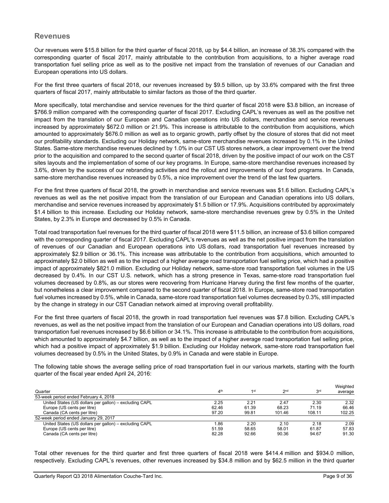# **Revenues**

Our revenues were \$15.8 billion for the third quarter of fiscal 2018, up by \$4.4 billion, an increase of 38.3% compared with the corresponding quarter of fiscal 2017, mainly attributable to the contribution from acquisitions, to a higher average road transportation fuel selling price as well as to the positive net impact from the translation of revenues of our Canadian and European operations into US dollars.

For the first three quarters of fiscal 2018, our revenues increased by \$9.5 billion, up by 33.6% compared with the first three quarters of fiscal 2017, mainly attributable to similar factors as those of the third quarter.

More specifically, total merchandise and service revenues for the third quarter of fiscal 2018 were \$3.8 billion, an increase of \$766.9 million compared with the corresponding quarter of fiscal 2017. Excluding CAPL's revenues as well as the positive net impact from the translation of our European and Canadian operations into US dollars, merchandise and service revenues increased by approximately \$672.0 million or 21.9%. This increase is attributable to the contribution from acquisitions, which amounted to approximately \$676.0 million as well as to organic growth, partly offset by the closure of stores that did not meet our profitability standards. Excluding our Holiday network, same-store merchandise revenues increased by 0.1% in the United States. Same-store merchandise revenues declined by 1.0% in our CST US stores network, a clear improvement over the trend prior to the acquisition and compared to the second quarter of fiscal 2018, driven by the positive impact of our work on the CST sites layouts and the implementation of some of our key programs. In Europe, same-store merchandise revenues increased by 3.6%, driven by the success of our rebranding activities and the rollout and improvements of our food programs. In Canada, same-store merchandise revenues increased by 0.5%, a nice improvement over the trend of the last few quarters.

For the first three quarters of fiscal 2018, the growth in merchandise and service revenues was \$1.6 billion. Excluding CAPL's revenues as well as the net positive impact from the translation of our European and Canadian operations into US dollars, merchandise and service revenues increased by approximately \$1.5 billion or 17.9%. Acquisitions contributed by approximately \$1.4 billion to this increase. Excluding our Holiday network, same-store merchandise revenues grew by 0.5% in the United States, by 2.3% in Europe and decreased by 0.5% in Canada.

Total road transportation fuel revenues for the third quarter of fiscal 2018 were \$11.5 billion, an increase of \$3.6 billion compared with the corresponding quarter of fiscal 2017. Excluding CAPL's revenues as well as the net positive impact from the translation of revenues of our Canadian and European operations into US dollars, road transportation fuel revenues increased by approximately \$2.9 billion or 36.1%. This increase was attributable to the contribution from acquisitions, which amounted to approximately \$2.0 billion as well as to the impact of a higher average road transportation fuel selling price, which had a positive impact of approximately \$821.0 million. Excluding our Holiday network, same-store road transportation fuel volumes in the US decreased by 0.4%. In our CST U.S. network, which has a strong presence in Texas, same-store road transportation fuel volumes decreased by 0.8%, as our stores were recovering from Hurricane Harvey during the first few months of the quarter, but nonetheless a clear improvement compared to the second quarter of fiscal 2018. In Europe, same-store road transportation fuel volumes increased by 0.5%, while in Canada, same-store road transportation fuel volumes decreased by 0.3%, still impacted by the change in strategy in our CST Canadian network aimed at improving overall profitability.

For the first three quarters of fiscal 2018, the growth in road transportation fuel revenues was \$7.8 billion. Excluding CAPL's revenues, as well as the net positive impact from the translation of our European and Canadian operations into US dollars, road transportation fuel revenues increased by \$6.6 billion or 34.1%. This increase is attributable to the contribution from acquisitions, which amounted to approximately \$4.7 billion, as well as to the impact of a higher average road transportation fuel selling price, which had a positive impact of approximately \$1.9 billion. Excluding our Holiday network, same-store road transportation fuel volumes decreased by 0.5% in the United States, by 0.9% in Canada and were stable in Europe.

The following table shows the average selling price of road transportation fuel in our various markets, starting with the fourth quarter of the fiscal year ended April 24, 2016:

|                                                        |                 |                 |                 |                 | Weighted |
|--------------------------------------------------------|-----------------|-----------------|-----------------|-----------------|----------|
| Quarter                                                | 4 <sup>th</sup> | 1 <sub>st</sub> | 2 <sub>nd</sub> | 3 <sup>rd</sup> | average  |
| 53-week period ended February 4, 2018                  |                 |                 |                 |                 |          |
| United States (US dollars per gallon) - excluding CAPL | 2.25            | 2.21            | 2.47            | 2.30            | 2.32     |
| Europe (US cents per litre)                            | 62.46           | 61.39           | 68.23           | 71.19           | 66.46    |
| Canada (CA cents per litre)                            | 97.20           | 99.81           | 101.46          | 108.11          | 102.25   |
| 52-week period ended January 29, 2017                  |                 |                 |                 |                 |          |
| United States (US dollars per gallon) - excluding CAPL | 86.ا            | 2.20            | 2.10            | 2.18            | 2.09     |
| Europe (US cents per litre)                            | 51.59           | 58.65           | 58.01           | 61.87           | 57.83    |
| Canada (CA cents per litre)                            | 82.28           | 92.66           | 90.36           | 94.67           | 91.30    |

Total other revenues for the third quarter and first three quarters of fiscal 2018 were \$414.4 million and \$934.0 million, respectively. Excluding CAPL's revenues, other revenues increased by \$34.8 million and by \$62.5 million in the third quarter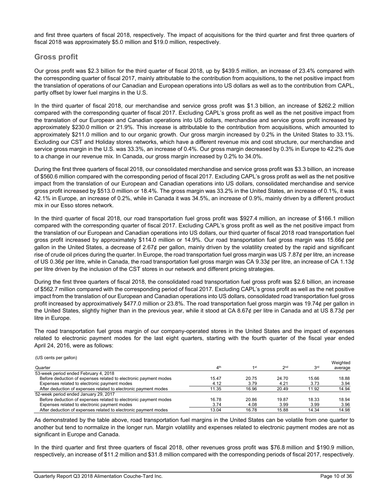and first three quarters of fiscal 2018, respectively. The impact of acquisitions for the third quarter and first three quarters of fiscal 2018 was approximately \$5.0 million and \$19.0 million, respectively.

# **Gross profit**

Our gross profit was \$2.3 billion for the third quarter of fiscal 2018, up by \$439.5 million, an increase of 23.4% compared with the corresponding quarter of fiscal 2017, mainly attributable to the contribution from acquisitions, to the net positive impact from the translation of operations of our Canadian and European operations into US dollars as well as to the contribution from CAPL, partly offset by lower fuel margins in the U.S.

In the third quarter of fiscal 2018, our merchandise and service gross profit was \$1.3 billion, an increase of \$262.2 million compared with the corresponding quarter of fiscal 2017. Excluding CAPL's gross profit as well as the net positive impact from the translation of our European and Canadian operations into US dollars, merchandise and service gross profit increased by approximately \$230.0 million or 21.9%. This increase is attributable to the contribution from acquisitions, which amounted to approximately \$211.0 million and to our organic growth. Our gross margin increased by 0.2% in the United States to 33.1%. Excluding our CST and Holiday stores networks, which have a different revenue mix and cost structure, our merchandise and service gross margin in the U.S. was 33.3%, an increase of 0.4%. Our gross margin decreased by 0.3% in Europe to 42.2% due to a change in our revenue mix. In Canada, our gross margin increased by 0.2% to 34.0%.

During the first three quarters of fiscal 2018, our consolidated merchandise and service gross profit was \$3.3 billion, an increase of \$560.6 million compared with the corresponding period of fiscal 2017. Excluding CAPL's gross profit as well as the net positive impact from the translation of our European and Canadian operations into US dollars, consolidated merchandise and service gross profit increased by \$513.0 million or 18.4%. The gross margin was 33.2% in the United States, an increase of 0.1%, it was 42.1% in Europe, an increase of 0.2%, while in Canada it was 34.5%, an increase of 0.9%, mainly driven by a different product mix in our Esso stores network.

In the third quarter of fiscal 2018, our road transportation fuel gross profit was \$927.4 million, an increase of \$166.1 million compared with the corresponding quarter of fiscal 2017. Excluding CAPL's gross profit as well as the net positive impact from the translation of our European and Canadian operations into US dollars, our third quarter of fiscal 2018 road transportation fuel gross profit increased by approximately \$114.0 million or 14.9%. Our road transportation fuel gross margin was 15.66¢ per gallon in the United States, a decrease of 2.67¢ per gallon, mainly driven by the volatility created by the rapid and significant rise of crude oil prices during the quarter. In Europe, the road transportation fuel gross margin was US 7.87¢ per litre, an increase of US 0.36¢ per litre, while in Canada, the road transportation fuel gross margin was CA 9.33¢ per litre, an increase of CA 1.13¢ per litre driven by the inclusion of the CST stores in our network and different pricing strategies.

During the first three quarters of fiscal 2018, the consolidated road transportation fuel gross profit was \$2.6 billion, an increase of \$562.7 million compared with the corresponding period of fiscal 2017. Excluding CAPL's gross profit as well as the net positive impact from the translation of our European and Canadian operations into US dollars, consolidated road transportation fuel gross profit increased by approximatively \$477.0 million or 23.8%. The road transportation fuel gross margin was 19.74¢ per gallon in the United States, slightly higher than in the previous year, while it stood at CA 8.67¢ per litre in Canada and at US 8.73¢ per litre in Europe.

The road transportation fuel gross margin of our company-operated stores in the United States and the impact of expenses related to electronic payment modes for the last eight quarters, starting with the fourth quarter of the fiscal year ended April 24, 2016, were as follows:

#### (US cents per gallon)

| Quarter                                                          | 4 <sup>th</sup> | 1st   | 2 <sub>nd</sub> | 3 <sup>rd</sup> | Weighted<br>average |
|------------------------------------------------------------------|-----------------|-------|-----------------|-----------------|---------------------|
| 53-week period ended February 4, 2018                            |                 |       |                 |                 |                     |
| Before deduction of expenses related to electronic payment modes | 15.47           | 20.75 | 24.70           | 15.66           | 18.88               |
| Expenses related to electronic payment modes                     | 4.12            | 3.79  | 4.21            | 3.73            | 3.94                |
| After deduction of expenses related to electronic payment modes  | 11.35           | 16.96 | 20.49           | 11.92           | 14.94               |
| 52-week period ended January 29, 2017                            |                 |       |                 |                 |                     |
| Before deduction of expenses related to electronic payment modes | 16.78           | 20.86 | 19.87           | 18.33           | 18.94               |
| Expenses related to electronic payment modes                     | 3.74            | 4.08  | 3.99            | 3.99            | 3.96                |
| After deduction of expenses related to electronic payment modes  | 13.04           | 16.78 | 15.88           | 14.34           | 14.98               |

As demonstrated by the table above, road transportation fuel margins in the United States can be volatile from one quarter to another but tend to normalize in the longer run. Margin volatility and expenses related to electronic payment modes are not as significant in Europe and Canada.

In the third quarter and first three quarters of fiscal 2018, other revenues gross profit was \$76.8 million and \$190.9 million, respectively, an increase of \$11.2 million and \$31.8 million compared with the corresponding periods of fiscal 2017, respectively.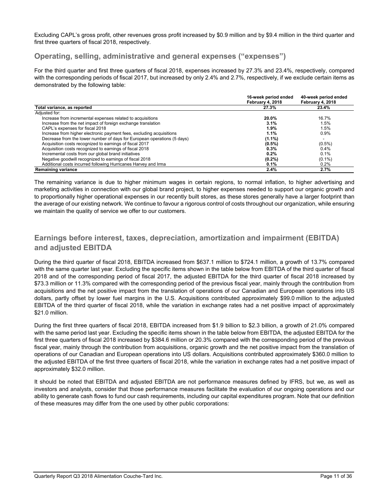Excluding CAPL's gross profit, other revenues gross profit increased by \$0.9 million and by \$9.4 million in the third quarter and first three quarters of fiscal 2018, respectively.

# **Operating, selling, administrative and general expenses ("expenses")**

For the third quarter and first three quarters of fiscal 2018, expenses increased by 27.3% and 23.4%, respectively, compared with the corresponding periods of fiscal 2017, but increased by only 2.4% and 2.7%, respectively, if we exclude certain items as demonstrated by the following table:

|                                                                         | 16-week period ended<br>February 4, 2018 | 40-week period ended<br>February 4, 2018 |
|-------------------------------------------------------------------------|------------------------------------------|------------------------------------------|
| Total variance, as reported                                             | 27.3%                                    | 23.4%                                    |
| Adjusted for:                                                           |                                          |                                          |
| Increase from incremental expenses related to acquisitions              | 20.0%                                    | 16.7%                                    |
| Increase from the net impact of foreign exchange translation            | 3.1%                                     | 1.5%                                     |
| CAPL's expenses for fiscal 2018                                         | $1.9\%$                                  | 1.5%                                     |
| Increase from higher electronic payment fees, excluding acquisitions    | 1.1%                                     | 0.9%                                     |
| Decrease from the lower number of days for European operations (5 days) | $(1.1\%)$                                |                                          |
| Acquisition costs recognized to earnings of fiscal 2017                 | $(0.5\%)$                                | $(0.5\%)$                                |
| Acquisition costs recognized to earnings of fiscal 2018                 | 0.3%                                     | 0.4%                                     |
| Incremental costs from our global brand initiatives                     | 0.2%                                     | 0.1%                                     |
| Negative goodwill recognized to earnings of fiscal 2018                 | $(0.2\%)$                                | $(0.1\%)$                                |
| Additional costs incurred following Hurricanes Harvey and Irma          | 0.1%                                     | $0.2\%$                                  |
| <b>Remaining variance</b>                                               | 2.4%                                     | 2.7%                                     |

The remaining variance is due to higher minimum wages in certain regions, to normal inflation, to higher advertising and marketing activities in connection with our global brand project, to higher expenses needed to support our organic growth and to proportionally higher operational expenses in our recently built stores, as these stores generally have a larger footprint than the average of our existing network. We continue to favour a rigorous control of costs throughout our organization, while ensuring we maintain the quality of service we offer to our customers.

# **Earnings before interest, taxes, depreciation, amortization and impairment (EBITDA) and adjusted EBITDA**

During the third quarter of fiscal 2018, EBITDA increased from \$637.1 million to \$724.1 million, a growth of 13.7% compared with the same quarter last year. Excluding the specific items shown in the table below from EBITDA of the third quarter of fiscal 2018 and of the corresponding period of fiscal 2017, the adjusted EBITDA for the third quarter of fiscal 2018 increased by \$73.3 million or 11.3% compared with the corresponding period of the previous fiscal year, mainly through the contribution from acquisitions and the net positive impact from the translation of operations of our Canadian and European operations into US dollars, partly offset by lower fuel margins in the U.S. Acquisitions contributed approximately \$99.0 million to the adjusted EBITDA of the third quarter of fiscal 2018, while the variation in exchange rates had a net positive impact of approximately \$21.0 million.

During the first three quarters of fiscal 2018, EBITDA increased from \$1.9 billion to \$2.3 billion, a growth of 21.0% compared with the same period last year. Excluding the specific items shown in the table below from EBITDA, the adjusted EBITDA for the first three quarters of fiscal 2018 increased by \$384.6 million or 20.3% compared with the corresponding period of the previous fiscal year, mainly through the contribution from acquisitions, organic growth and the net positive impact from the translation of operations of our Canadian and European operations into US dollars. Acquisitions contributed approximately \$360.0 million to the adjusted EBITDA of the first three quarters of fiscal 2018, while the variation in exchange rates had a net positive impact of approximately \$32.0 million.

It should be noted that EBITDA and adjusted EBITDA are not performance measures defined by IFRS, but we, as well as investors and analysts, consider that those performance measures facilitate the evaluation of our ongoing operations and our ability to generate cash flows to fund our cash requirements, including our capital expenditures program. Note that our definition of these measures may differ from the one used by other public corporations: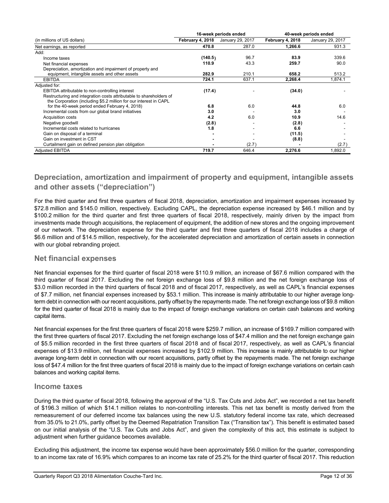|                                                                     |                  | 16-week periods ended | 40-week periods ended |                  |  |
|---------------------------------------------------------------------|------------------|-----------------------|-----------------------|------------------|--|
| (in millions of US dollars)                                         | February 4, 2018 | January 29, 2017      | February 4, 2018      | January 29, 2017 |  |
| Net earnings, as reported                                           | 470.8            | 287.0                 | 1,266.6               | 931.3            |  |
| Add:                                                                |                  |                       |                       |                  |  |
| Income taxes                                                        | (140.5)          | 96.7                  | 83.9                  | 339.6            |  |
| Net financial expenses                                              | 110.9            | 43.3                  | 259.7                 | 90.0             |  |
| Depreciation, amortization and impairment of property and           |                  |                       |                       |                  |  |
| equipment, intangible assets and other assets                       | 282.9            | 210.1                 | 658.2                 | 513.2            |  |
| <b>EBITDA</b>                                                       | 724.1            | 637.1                 | 2,268.4               | 1,874.1          |  |
| Adjusted for:                                                       |                  |                       |                       |                  |  |
| EBITDA attributable to non-controlling interest                     | (17.4)           |                       | (34.0)                |                  |  |
| Restructuring and integration costs attributable to shareholders of |                  |                       |                       |                  |  |
| the Corporation (including \$5.2 million for our interest in CAPL   |                  |                       |                       |                  |  |
| for the 40-week period ended February 4, 2018)                      | 6.8              | 6.0                   | 44.8                  | 6.0              |  |
| Incremental costs from our global brand initiatives                 | 3.0              |                       | 3.0                   |                  |  |
| <b>Acquisition costs</b>                                            | 4.2              | 6.0                   | 10.9                  | 14.6             |  |
| Negative goodwill                                                   | (2.8)            |                       | (2.8)                 |                  |  |
| Incremental costs related to hurricanes                             | 1.8              |                       | 6.6                   |                  |  |
| Gain on disposal of a terminal                                      |                  |                       | (11.5)                |                  |  |
| Gain on investment in CST                                           |                  |                       | (8.8)                 |                  |  |
| Curtailment gain on defined pension plan obligation                 |                  | (2.7)                 |                       | (2.7)            |  |
| <b>Adjusted EBITDA</b>                                              | 719.7            | 646.4                 | 2,276.6               | 1,892.0          |  |

# **Depreciation, amortization and impairment of property and equipment, intangible assets and other assets ("depreciation")**

For the third quarter and first three quarters of fiscal 2018, depreciation, amortization and impairment expenses increased by \$72.8 million and \$145.0 million, respectively. Excluding CAPL, the depreciation expense increased by \$46.1 million and by \$100.2 million for the third quarter and first three quarters of fiscal 2018, respectively, mainly driven by the impact from investments made through acquisitions, the replacement of equipment, the addition of new stores and the ongoing improvement of our network. The depreciation expense for the third quarter and first three quarters of fiscal 2018 includes a charge of \$6.6 million and of \$14.5 million, respectively, for the accelerated depreciation and amortization of certain assets in connection with our global rebranding project.

# **Net financial expenses**

Net financial expenses for the third quarter of fiscal 2018 were \$110.9 million, an increase of \$67.6 million compared with the third quarter of fiscal 2017. Excluding the net foreign exchange loss of \$9.8 million and the net foreign exchange loss of \$3.0 million recorded in the third quarters of fiscal 2018 and of fiscal 2017, respectively, as well as CAPL's financial expenses of \$7.7 million, net financial expenses increased by \$53.1 million. This increase is mainly attributable to our higher average longterm debt in connection with our recent acquisitions, partly offset by the repayments made. The net foreign exchange loss of \$9.8 million for the third quarter of fiscal 2018 is mainly due to the impact of foreign exchange variations on certain cash balances and working capital items.

Net financial expenses for the first three quarters of fiscal 2018 were \$259.7 million, an increase of \$169.7 million compared with the first three quarters of fiscal 2017. Excluding the net foreign exchange loss of \$47.4 million and the net foreign exchange gain of \$5.5 million recorded in the first three quarters of fiscal 2018 and of fiscal 2017, respectively, as well as CAPL's financial expenses of \$13.9 million, net financial expenses increased by \$102.9 million. This increase is mainly attributable to our higher average long-term debt in connection with our recent acquisitions, partly offset by the repayments made. The net foreign exchange loss of \$47.4 million for the first three quarters of fiscal 2018 is mainly due to the impact of foreign exchange variations on certain cash balances and working capital items.

# **Income taxes**

During the third quarter of fiscal 2018, following the approval of the "U.S. Tax Cuts and Jobs Act", we recorded a net tax benefit of \$196.3 million of which \$14.1 million relates to non-controlling interests. This net tax benefit is mostly derived from the remeasurement of our deferred income tax balances using the new U.S. statutory federal income tax rate, which decreased from 35.0% to 21.0%, partly offset by the Deemed Repatriation Transition Tax ("Transition tax"). This benefit is estimated based on our initial analysis of the "U.S. Tax Cuts and Jobs Act", and given the complexity of this act, this estimate is subject to adjustment when further guidance becomes available.

Excluding this adjustment, the income tax expense would have been approximately \$56.0 million for the quarter, corresponding to an income tax rate of 16.9% which compares to an income tax rate of 25.2% for the third quarter of fiscal 2017. This reduction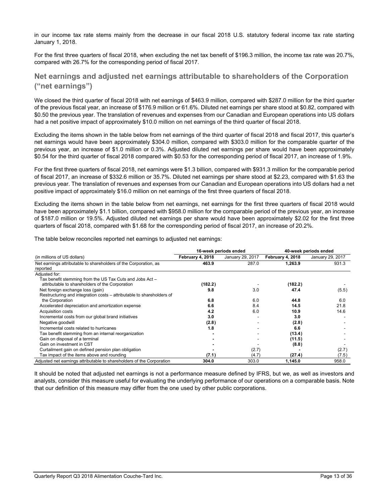in our income tax rate stems mainly from the decrease in our fiscal 2018 U.S. statutory federal income tax rate starting January 1, 2018.

For the first three quarters of fiscal 2018, when excluding the net tax benefit of \$196.3 million, the income tax rate was 20.7%, compared with 26.7% for the corresponding period of fiscal 2017.

# **Net earnings and adjusted net earnings attributable to shareholders of the Corporation ("net earnings")**

We closed the third quarter of fiscal 2018 with net earnings of \$463.9 million, compared with \$287.0 million for the third quarter of the previous fiscal year, an increase of \$176.9 million or 61.6%. Diluted net earnings per share stood at \$0.82, compared with \$0.50 the previous year. The translation of revenues and expenses from our Canadian and European operations into US dollars had a net positive impact of approximately \$10.0 million on net earnings of the third quarter of fiscal 2018.

Excluding the items shown in the table below from net earnings of the third quarter of fiscal 2018 and fiscal 2017, this quarter's net earnings would have been approximately \$304.0 million, compared with \$303.0 million for the comparable quarter of the previous year, an increase of \$1.0 million or 0.3%. Adjusted diluted net earnings per share would have been approximately \$0.54 for the third quarter of fiscal 2018 compared with \$0.53 for the corresponding period of fiscal 2017, an increase of 1.9%.

For the first three quarters of fiscal 2018, net earnings were \$1.3 billion, compared with \$931.3 million for the comparable period of fiscal 2017, an increase of \$332.6 million or 35.7%. Diluted net earnings per share stood at \$2.23, compared with \$1.63 the previous year. The translation of revenues and expenses from our Canadian and European operations into US dollars had a net positive impact of approximately \$16.0 million on net earnings of the first three quarters of fiscal 2018.

Excluding the items shown in the table below from net earnings, net earnings for the first three quarters of fiscal 2018 would have been approximately \$1.1 billion, compared with \$958.0 million for the comparable period of the previous year, an increase of \$187.0 million or 19.5%. Adjusted diluted net earnings per share would have been approximately \$2.02 for the first three quarters of fiscal 2018, compared with \$1.68 for the corresponding period of fiscal 2017, an increase of 20.2%.

|  | The table below reconciles reported net earnings to adjusted net earnings: |  |  |  |  |
|--|----------------------------------------------------------------------------|--|--|--|--|
|  |                                                                            |  |  |  |  |

|                                                                       |                  | 16-week periods ended | 40-week periods ended |                  |  |
|-----------------------------------------------------------------------|------------------|-----------------------|-----------------------|------------------|--|
| (in millions of US dollars)                                           | February 4, 2018 | January 29, 2017      | February 4, 2018      | January 29, 2017 |  |
| Net earnings attributable to shareholders of the Corporation, as      | 463.9            | 287.0                 | 1,263.9               | 931.3            |  |
| reported                                                              |                  |                       |                       |                  |  |
| Adjusted for:                                                         |                  |                       |                       |                  |  |
| Tax benefit stemming from the US Tax Cuts and Jobs Act -              |                  |                       |                       |                  |  |
| attributable to shareholders of the Corporation                       | (182.2)          |                       | (182.2)               |                  |  |
| Net foreign exchange loss (gain)                                      | 9.8              | 3.0                   | 47.4                  | (5.5)            |  |
| Restructuring and integration costs – attributable to shareholders of |                  |                       |                       |                  |  |
| the Corporation                                                       | 6.8              | 6.0                   | 44.8                  | 6.0              |  |
| Accelerated depreciation and amortization expense                     | 6.6              | 8.4                   | 14.5                  | 21.8             |  |
| <b>Acquisition costs</b>                                              | 4.2              | 6.0                   | 10.9                  | 14.6             |  |
| Incremental costs from our global brand initiatives                   | 3.0              |                       | 3.0                   |                  |  |
| Negative goodwill                                                     | (2.8)            |                       | (2.8)                 |                  |  |
| Incremental costs related to hurricanes                               | 1.8              |                       | 6.6                   |                  |  |
| Tax benefit stemming from an internal reorganization                  |                  |                       | (13.4)                |                  |  |
| Gain on disposal of a terminal                                        |                  |                       | (11.5)                |                  |  |
| Gain on investment in CST                                             |                  |                       | (8.8)                 |                  |  |
| Curtailment gain on defined pension plan obligation                   |                  | (2.7)                 |                       | (2.7)            |  |
| Tax impact of the items above and rounding                            | (7.1)            | (4.7)                 | (27.4)                | (7.5)            |  |
| Adjusted net earnings attributable to shareholders of the Corporation | 304.0            | 303.0                 | 1,145.0               | 958.0            |  |

It should be noted that adjusted net earnings is not a performance measure defined by IFRS, but we, as well as investors and analysts, consider this measure useful for evaluating the underlying performance of our operations on a comparable basis. Note that our definition of this measure may differ from the one used by other public corporations.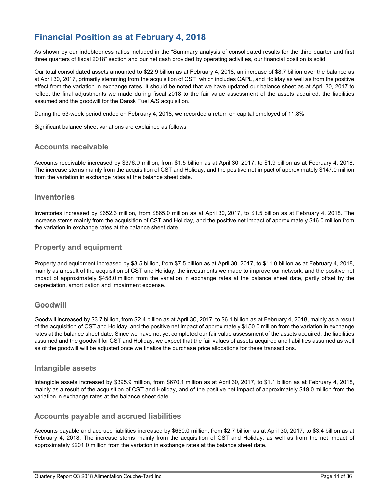# **Financial Position as at February 4, 2018**

As shown by our indebtedness ratios included in the "Summary analysis of consolidated results for the third quarter and first three quarters of fiscal 2018" section and our net cash provided by operating activities, our financial position is solid.

Our total consolidated assets amounted to \$22.9 billion as at February 4, 2018, an increase of \$8.7 billion over the balance as at April 30, 2017, primarily stemming from the acquisition of CST, which includes CAPL, and Holiday as well as from the positive effect from the variation in exchange rates. It should be noted that we have updated our balance sheet as at April 30, 2017 to reflect the final adjustments we made during fiscal 2018 to the fair value assessment of the assets acquired, the liabilities assumed and the goodwill for the Dansk Fuel A/S acquisition.

During the 53-week period ended on February 4, 2018, we recorded a return on capital employed of 11.8%.

Significant balance sheet variations are explained as follows:

# **Accounts receivable**

Accounts receivable increased by \$376.0 million, from \$1.5 billion as at April 30, 2017, to \$1.9 billion as at February 4, 2018. The increase stems mainly from the acquisition of CST and Holiday, and the positive net impact of approximately \$147.0 million from the variation in exchange rates at the balance sheet date.

# **Inventories**

Inventories increased by \$652.3 million, from \$865.0 million as at April 30, 2017, to \$1.5 billion as at February 4, 2018. The increase stems mainly from the acquisition of CST and Holiday, and the positive net impact of approximately \$46.0 million from the variation in exchange rates at the balance sheet date.

# **Property and equipment**

Property and equipment increased by \$3.5 billion, from \$7.5 billion as at April 30, 2017, to \$11.0 billion as at February 4, 2018, mainly as a result of the acquisition of CST and Holiday, the investments we made to improve our network, and the positive net impact of approximately \$458.0 million from the variation in exchange rates at the balance sheet date, partly offset by the depreciation, amortization and impairment expense.

# **Goodwill**

Goodwill increased by \$3.7 billion, from \$2.4 billion as at April 30, 2017, to \$6.1 billion as at February 4, 2018, mainly as a result of the acquisition of CST and Holiday, and the positive net impact of approximately \$150.0 million from the variation in exchange rates at the balance sheet date. Since we have not yet completed our fair value assessment of the assets acquired, the liabilities assumed and the goodwill for CST and Holiday, we expect that the fair values of assets acquired and liabilities assumed as well as of the goodwill will be adjusted once we finalize the purchase price allocations for these transactions.

## **Intangible assets**

Intangible assets increased by \$395.9 million, from \$670.1 million as at April 30, 2017, to \$1.1 billion as at February 4, 2018, mainly as a result of the acquisition of CST and Holiday, and of the positive net impact of approximately \$49.0 million from the variation in exchange rates at the balance sheet date.

# **Accounts payable and accrued liabilities**

Accounts payable and accrued liabilities increased by \$650.0 million, from \$2.7 billion as at April 30, 2017, to \$3.4 billion as at February 4, 2018. The increase stems mainly from the acquisition of CST and Holiday, as well as from the net impact of approximately \$201.0 million from the variation in exchange rates at the balance sheet date.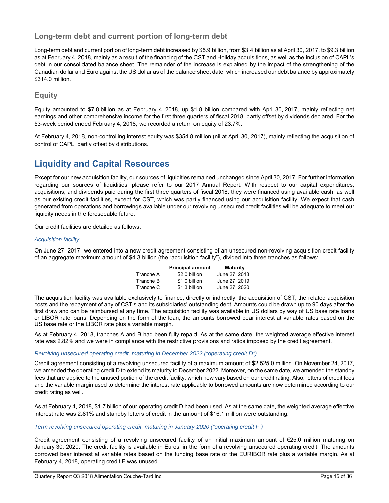# **Long-term debt and current portion of long-term debt**

Long-term debt and current portion of long-term debt increased by \$5.9 billion, from \$3.4 billion as at April 30, 2017, to \$9.3 billion as at February 4, 2018, mainly as a result of the financing of the CST and Holiday acquisitions, as well as the inclusion of CAPL's debt in our consolidated balance sheet. The remainder of the increase is explained by the impact of the strengthening of the Canadian dollar and Euro against the US dollar as of the balance sheet date, which increased our debt balance by approximately \$314.0 million.

# **Equity**

Equity amounted to \$7.8 billion as at February 4, 2018, up \$1.8 billion compared with April 30, 2017, mainly reflecting net earnings and other comprehensive income for the first three quarters of fiscal 2018, partly offset by dividends declared. For the 53-week period ended February 4, 2018, we recorded a return on equity of 23.7%.

At February 4, 2018, non-controlling interest equity was \$354.8 million (nil at April 30, 2017), mainly reflecting the acquisition of control of CAPL, partly offset by distributions.

# **Liquidity and Capital Resources**

Except for our new acquisition facility, our sources of liquidities remained unchanged since April 30, 2017. For further information regarding our sources of liquidities, please refer to our 2017 Annual Report. With respect to our capital expenditures, acquisitions, and dividends paid during the first three quarters of fiscal 2018, they were financed using available cash, as well as our existing credit facilities, except for CST, which was partly financed using our acquisition facility. We expect that cash generated from operations and borrowings available under our revolving unsecured credit facilities will be adequate to meet our liquidity needs in the foreseeable future.

Our credit facilities are detailed as follows:

## *Acquisition facility*

On June 27, 2017, we entered into a new credit agreement consisting of an unsecured non-revolving acquisition credit facility of an aggregate maximum amount of \$4.3 billion (the "acquisition facility"), divided into three tranches as follows:

|           | <b>Principal amount</b> | <b>Maturity</b> |
|-----------|-------------------------|-----------------|
| Tranche A | \$2.0 billion           | June 27, 2018   |
| Tranche B | \$1.0 billion           | June 27, 2019   |
| Tranche C | \$1.3 billion           | June 27, 2020   |

The acquisition facility was available exclusively to finance, directly or indirectly, the acquisition of CST, the related acquisition costs and the repayment of any of CST's and its subsidiaries' outstanding debt. Amounts could be drawn up to 90 days after the first draw and can be reimbursed at any time. The acquisition facility was available in US dollars by way of US base rate loans or LIBOR rate loans. Depending on the form of the loan, the amounts borrowed bear interest at variable rates based on the US base rate or the LIBOR rate plus a variable margin.

As at February 4, 2018, tranches A and B had been fully repaid. As at the same date, the weighted average effective interest rate was 2.82% and we were in compliance with the restrictive provisions and ratios imposed by the credit agreement.

## *Revolving unsecured operating credit, maturing in December 2022 ("operating credit D")*

Credit agreement consisting of a revolving unsecured facility of a maximum amount of \$2,525.0 million. On November 24, 2017, we amended the operating credit D to extend its maturity to December 2022. Moreover, on the same date, we amended the standby fees that are applied to the unused portion of the credit facility, which now vary based on our credit rating. Also, letters of credit fees and the variable margin used to determine the interest rate applicable to borrowed amounts are now determined according to our credit rating as well.

As at February 4, 2018, \$1.7 billion of our operating credit D had been used. As at the same date, the weighted average effective interest rate was 2.81% and standby letters of credit in the amount of \$16.1 million were outstanding.

#### *Term revolving unsecured operating credit, maturing in January 2020 ("operating credit F")*

Credit agreement consisting of a revolving unsecured facility of an initial maximum amount of €25.0 million maturing on January 30, 2020. The credit facility is available in Euros, in the form of a revolving unsecured operating credit. The amounts borrowed bear interest at variable rates based on the funding base rate or the EURIBOR rate plus a variable margin. As at February 4, 2018, operating credit F was unused.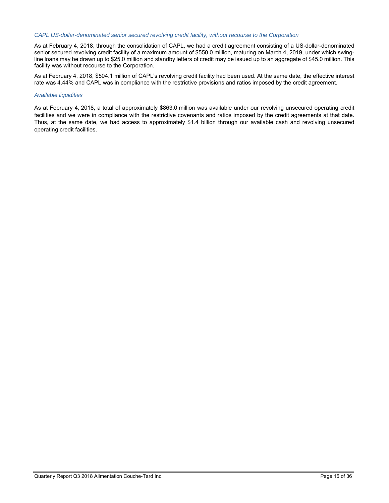#### *CAPL US-dollar-denominated senior secured revolving credit facility, without recourse to the Corporation*

As at February 4, 2018, through the consolidation of CAPL, we had a credit agreement consisting of a US-dollar-denominated senior secured revolving credit facility of a maximum amount of \$550.0 million, maturing on March 4, 2019, under which swingline loans may be drawn up to \$25.0 million and standby letters of credit may be issued up to an aggregate of \$45.0 million. This facility was without recourse to the Corporation.

As at February 4, 2018, \$504.1 million of CAPL's revolving credit facility had been used. At the same date, the effective interest rate was 4.44% and CAPL was in compliance with the restrictive provisions and ratios imposed by the credit agreement.

#### *Available liquidities*

As at February 4, 2018, a total of approximately \$863.0 million was available under our revolving unsecured operating credit facilities and we were in compliance with the restrictive covenants and ratios imposed by the credit agreements at that date. Thus, at the same date, we had access to approximately \$1.4 billion through our available cash and revolving unsecured operating credit facilities.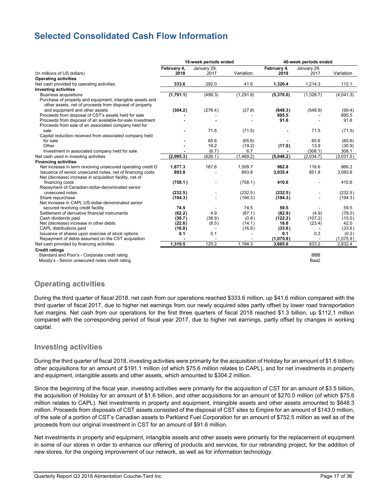# **Selected Consolidated Cash Flow Information**

|                                                                                                                           | 16-week periods ended |               |               | 40-week periods ended |             |           |  |
|---------------------------------------------------------------------------------------------------------------------------|-----------------------|---------------|---------------|-----------------------|-------------|-----------|--|
|                                                                                                                           | February 4,           | January 29,   |               | February 4,           | January 29, |           |  |
| (In millions of US dollars)                                                                                               | 2018                  | 2017          | Variation     | 2018                  | 2017        | Variation |  |
| <b>Operating activities</b>                                                                                               |                       |               |               |                       |             |           |  |
| Net cash provided by operating activities                                                                                 | 333.6                 | 292.0         | 41.6          | 1,326.4               | 1,214.3     | 112.1     |  |
| <b>Investing activities</b>                                                                                               |                       |               |               |                       |             |           |  |
| <b>Business acquisitions</b>                                                                                              | (1,791.1)             | (499.3)       | (1,291.8)     | (5,370.0)             | (1,328.7)   | (4,041.3) |  |
| Purchase of property and equipment, intangible assets and                                                                 |                       |               |               |                       |             |           |  |
| other assets, net of proceeds from disposal of property                                                                   |                       |               |               |                       |             |           |  |
| and equipment and other assets                                                                                            | (304.2)               | (276.4)       | (27.8)        | (648.3)               | (548.9)     | (99.4)    |  |
| Proceeds from disposal of CST's assets held for sale                                                                      |                       |               |               | 895.5                 |             | 895.5     |  |
| Proceeds from disposal of an available-for-sale investment                                                                |                       |               |               | 91.6                  |             | 91.6      |  |
| Proceeds from sale of an associated company held for                                                                      |                       |               |               |                       |             |           |  |
| sale                                                                                                                      |                       | 71.5          | (71.5)        |                       | 71.5        | (71.5)    |  |
| Capital reduction received from associated company held                                                                   |                       |               |               |                       |             |           |  |
| for sale<br>Other                                                                                                         |                       | 65.6          | (65.6)        |                       | 65.6        | (65.6)    |  |
|                                                                                                                           |                       | 19.2<br>(6.7) | (19.2)<br>6.7 | (17.0)                | 13.9        | (30.9)    |  |
| Investment in associated company held for sale                                                                            |                       |               |               |                       | (308.1)     | 308.1     |  |
| Net cash used in investing activities                                                                                     | (2,095.3)             | (626.1)       | (1,469.2)     | (5,048.2)             | (2,034.7)   | (3,031.5) |  |
| <b>Financing activities</b>                                                                                               |                       | 167.6         | 1.509.7       |                       | 116.6       | 866.2     |  |
| Net increase in term revolving unsecured operating credit D<br>Issuance of senior unsecured notes, net of financing costs | 1,677.3<br>893.8      |               | 893.8         | 982.8<br>3,935.4      | 851.8       | 3,083.6   |  |
| Net (decrease) increase in acquisition facility, net of                                                                   |                       |               |               |                       |             |           |  |
| financing costs                                                                                                           | (758.1)               |               | (758.1)       | 410.6                 |             | 410.6     |  |
| Repayment of Canadian-dollar-denominated senior                                                                           |                       |               |               |                       |             |           |  |
| unsecured notes                                                                                                           | (232.5)               |               | (232.5)       | (232.5)               |             | (232.5)   |  |
| Share repurchase                                                                                                          | (194.3)               |               | (194.3)       | (194.3)               |             | (194.3)   |  |
| Net increase in CAPL US-dollar-denominated senior                                                                         |                       |               |               |                       |             |           |  |
| secured revolving credit facility                                                                                         | 74.5                  |               | 74.5          | 59.5                  |             | 59.5      |  |
| Settlement of derivative financial instruments                                                                            | (62.2)                | 4.9           | (67.1)        | (82.9)                | (4.9)       | (78.0)    |  |
| Cash dividends paid                                                                                                       | (39.7)                | (38.9)        | (0.8)         | (122.2)               | (107.2)     | (15.0)    |  |
| Net (decrease) increase in other debts                                                                                    | (22.6)                | (8.5)         | (14.1)        | 18.6                  | (23.4)      | 42.0      |  |
| CAPL distributions paid                                                                                                   | (16.8)                |               | (16.8)        | (33.6)                |             | (33.6)    |  |
| Issuance of shares upon exercise of stock options                                                                         | 0.1                   | 0.1           |               | 0.1                   | 0.3         | (0.2)     |  |
| Repayment of debts assumed on the CST acquisition                                                                         |                       |               |               | (1,075.9)             |             | (1,075.9) |  |
| Net cash provided by financing activities                                                                                 | 1,319.5               | 125.2         | 1,194.3       | 3,665.6               | 833.2       | 2,832.4   |  |
| <b>Credit ratings</b>                                                                                                     |                       |               |               |                       |             |           |  |
| Standard and Poor's - Corporate credit rating                                                                             |                       |               |               |                       | <b>BBB</b>  |           |  |
| Moody's - Senior unsecured notes credit rating                                                                            |                       |               |               |                       | Baa2        |           |  |
|                                                                                                                           |                       |               |               |                       |             |           |  |

# **Operating activities**

During the third quarter of fiscal 2018, net cash from our operations reached \$333.6 million, up \$41.6 million compared with the third quarter of fiscal 2017, due to higher net earnings from our newly acquired sites partly offset by lower road transportation fuel margins. Net cash from our operations for the first three quarters of fiscal 2018 reached \$1.3 billion, up \$112.1 million compared with the corresponding period of fiscal year 2017, due to higher net earnings, partly offset by changes in working capital.

# **Investing activities**

During the third quarter of fiscal 2018, investing activities were primarily for the acquisition of Holiday for an amount of \$1.6 billion, other acquisitions for an amount of \$191.1 million (of which \$75.6 million relates to CAPL), and for net investments in property and equipment, intangible assets and other assets, which amounted to \$304.2 million.

Since the beginning of the fiscal year, investing activities were primarily for the acquisition of CST for an amount of \$3.5 billion, the acquisition of Holiday for an amount of \$1.6 billion, and other acquisitions for an amount of \$270.0 million (of which \$75.6 million relates to CAPL). Net investments in property and equipment, intangible assets and other assets amounted to \$648.3 million. Proceeds from disposals of CST assets consisted of the disposal of CST sites to Empire for an amount of \$143.0 million, of the sale of a portion of CST's Canadian assets to Parkland Fuel Corporation for an amount of \$752.5 million as well as of the proceeds from our original investment in CST for an amount of \$91.6 million.

Net investments in property and equipment, intangible assets and other assets were primarily for the replacement of equipment in some of our stores in order to enhance our offering of products and services, for our rebranding project, for the addition of new stores, for the ongoing improvement of our network, as well as for information technology.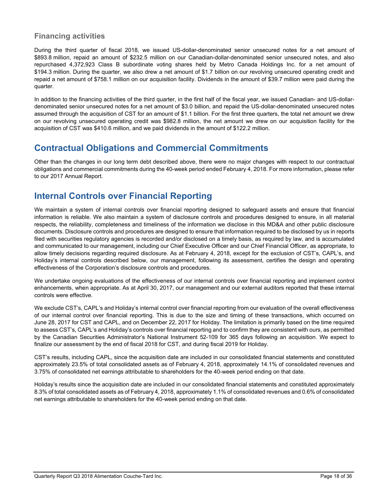# **Financing activities**

During the third quarter of fiscal 2018, we issued US-dollar-denominated senior unsecured notes for a net amount of \$893.8 million, repaid an amount of \$232.5 million on our Canadian-dollar-denominated senior unsecured notes, and also repurchased 4,372,923 Class B subordinate voting shares held by Metro Canada Holdings Inc. for a net amount of \$194.3 million. During the quarter, we also drew a net amount of \$1.7 billion on our revolving unsecured operating credit and repaid a net amount of \$758.1 million on our acquisition facility. Dividends in the amount of \$39.7 million were paid during the quarter.

In addition to the financing activities of the third quarter, in the first half of the fiscal year, we issued Canadian- and US-dollardenominated senior unsecured notes for a net amount of \$3.0 billion, and repaid the US-dollar-denominated unsecured notes assumed through the acquisition of CST for an amount of \$1.1 billion. For the first three quarters, the total net amount we drew on our revolving unsecured operating credit was \$982.8 million, the net amount we drew on our acquisition facility for the acquisition of CST was \$410.6 million, and we paid dividends in the amount of \$122.2 million.

# **Contractual Obligations and Commercial Commitments**

Other than the changes in our long term debt described above, there were no major changes with respect to our contractual obligations and commercial commitments during the 40-week period ended February 4, 2018. For more information, please refer to our 2017 Annual Report.

# **Internal Controls over Financial Reporting**

We maintain a system of internal controls over financial reporting designed to safeguard assets and ensure that financial information is reliable. We also maintain a system of disclosure controls and procedures designed to ensure, in all material respects, the reliability, completeness and timeliness of the information we disclose in this MD&A and other public disclosure documents. Disclosure controls and procedures are designed to ensure that information required to be disclosed by us in reports filed with securities regulatory agencies is recorded and/or disclosed on a timely basis, as required by law, and is accumulated and communicated to our management, including our Chief Executive Officer and our Chief Financial Officer, as appropriate, to allow timely decisions regarding required disclosure. As at February 4, 2018, except for the exclusion of CST's, CAPL's, and Holiday's internal controls described below, our management, following its assessment, certifies the design and operating effectiveness of the Corporation's disclosure controls and procedures.

We undertake ongoing evaluations of the effectiveness of our internal controls over financial reporting and implement control enhancements, when appropriate. As at April 30, 2017, our management and our external auditors reported that these internal controls were effective.

We exclude CST's, CAPL's and Holiday's internal control over financial reporting from our evaluation of the overall effectiveness of our internal control over financial reporting. This is due to the size and timing of these transactions, which occurred on June 28, 2017 for CST and CAPL, and on December 22, 2017 for Holiday. The limitation is primarily based on the time required to assess CST's, CAPL's and Holiday's controls over financial reporting and to confirm they are consistent with ours, as permitted by the Canadian Securities Administrator's National Instrument 52-109 for 365 days following an acquisition. We expect to finalize our assessment by the end of fiscal 2018 for CST, and during fiscal 2019 for Holiday.

CST's results, including CAPL, since the acquisition date are included in our consolidated financial statements and constituted approximately 23.5% of total consolidated assets as of February 4, 2018, approximately 14.1% of consolidated revenues and 3.75% of consolidated net earnings attributable to shareholders for the 40-week period ending on that date.

Holiday's results since the acquisition date are included in our consolidated financial statements and constituted approximately 8.3% of total consolidated assets as of February 4, 2018, approximately 1.1% of consolidated revenues and 0.6% of consolidated net earnings attributable to shareholders for the 40-week period ending on that date.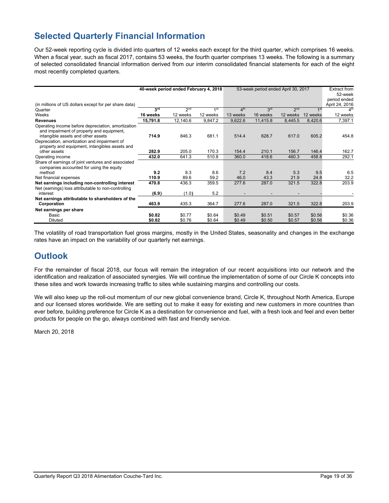# **Selected Quarterly Financial Information**

Our 52-week reporting cycle is divided into quarters of 12 weeks each except for the third quarter, which comprises 16 weeks. When a fiscal year, such as fiscal 2017, contains 53 weeks, the fourth quarter comprises 13 weeks. The following is a summary of selected consolidated financial information derived from our interim consolidated financial statements for each of the eight most recently completed quarters.

|                                                                                                                                       |          | 40-week period ended February 4, 2018 |          |                 | 53-week period ended April 30, 2017 |                 |                 | Extract from<br>52-week<br>period ended |
|---------------------------------------------------------------------------------------------------------------------------------------|----------|---------------------------------------|----------|-----------------|-------------------------------------|-----------------|-----------------|-----------------------------------------|
| (in millions of US dollars except for per share data)<br>Quarter                                                                      | 3rd      | 2 <sub>nd</sub>                       | 1st      | 4 <sup>th</sup> | 3rd                                 | 2 <sub>nd</sub> | 1 <sup>st</sup> | April 24, 2016<br>4 <sup>th</sup>       |
| Weeks                                                                                                                                 | 16 weeks | 12 weeks                              | 12 weeks | 13 weeks        | 16 weeks                            | 12 weeks        | 12 weeks        | 12 weeks                                |
|                                                                                                                                       |          |                                       |          |                 |                                     |                 |                 |                                         |
| <b>Revenues</b>                                                                                                                       | 15,791.8 | 12,140.6                              | 9,847.2  | 9,622.6         | 11,415.8                            | 8,445.5         | 8,420.6         | 7,397.1                                 |
| Operating income before depreciation, amortization<br>and impairment of property and equipment.<br>intangible assets and other assets | 714.9    | 846.3                                 | 681.1    | 514.4           | 628.7                               | 617.0           | 605.2           | 454.8                                   |
| Depreciation, amortization and impairment of<br>property and equipment, intangibles assets and<br>other assets                        | 282.9    | 205.0                                 | 170.3    | 154.4           | 210.1                               | 156.7           | 146.4           | 162.7                                   |
|                                                                                                                                       |          |                                       |          |                 |                                     |                 |                 |                                         |
| Operating income                                                                                                                      | 432.0    | 641.3                                 | 510.8    | 360.0           | 418.6                               | 460.3           | 458.8           | 292.1                                   |
| Share of earnings of joint ventures and associated<br>companies accounted for using the equity                                        |          |                                       |          |                 |                                     |                 |                 |                                         |
| method                                                                                                                                | 9.2      | 8.3                                   | 8.6      | 7.2             | 8.4                                 | 5.3             | 9.5             | 6.5                                     |
| Net financial expenses                                                                                                                | 110.9    | 89.6                                  | 59.2     | 46.0            | 43.3                                | 21.9            | 24.8            | 32.2                                    |
| Net earnings including non-controlling interest                                                                                       | 470.8    | 436.3                                 | 359.5    | 277.6           | 287.0                               | 321.5           | 322.8           | 203.9                                   |
| Net (earnings) loss attributable to non-controlling                                                                                   |          |                                       |          |                 |                                     |                 |                 |                                         |
| interest                                                                                                                              | (6.9)    | (1.0)                                 | 5.2      |                 |                                     |                 |                 |                                         |
| Net earnings attributable to shareholders of the                                                                                      |          |                                       |          |                 |                                     |                 |                 |                                         |
| Corporation                                                                                                                           | 463.9    | 435.3                                 | 364.7    | 277.6           | 287.0                               | 321.5           | 322.8           | 203.9                                   |
| Net earnings per share                                                                                                                |          |                                       |          |                 |                                     |                 |                 |                                         |
| Basic                                                                                                                                 | \$0.82   | \$0.77                                | \$0.64   | \$0.49          | \$0.51                              | \$0.57          | \$0.56          | \$0.36                                  |
| <b>Diluted</b>                                                                                                                        | \$0.82   | \$0.76                                | \$0.64   | \$0.49          | \$0.50                              | \$0.57          | \$0.56          | \$0.36                                  |

The volatility of road transportation fuel gross margins, mostly in the United States, seasonality and changes in the exchange rates have an impact on the variability of our quarterly net earnings.

# **Outlook**

For the remainder of fiscal 2018, our focus will remain the integration of our recent acquisitions into our network and the identification and realization of associated synergies. We will continue the implementation of some of our Circle K concepts into these sites and work towards increasing traffic to sites while sustaining margins and controlling our costs.

We will also keep up the roll-out momentum of our new global convenience brand, Circle K, throughout North America, Europe and our licensed stores worldwide. We are setting out to make it easy for existing and new customers in more countries than ever before, building preference for Circle K as a destination for convenience and fuel, with a fresh look and feel and even better products for people on the go, always combined with fast and friendly service.

March 20, 2018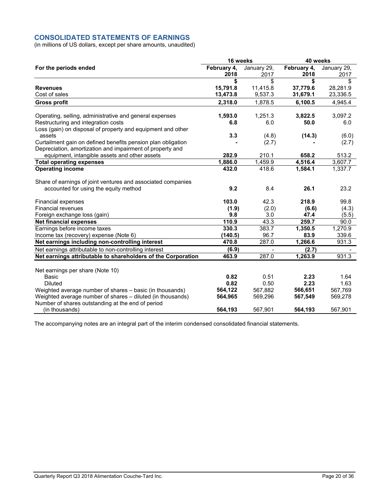# **CONSOLIDATED STATEMENTS OF EARNINGS**

(in millions of US dollars, except per share amounts, unaudited)

|                                                                                                                 | 16 weeks    |             | 40 weeks    |             |  |
|-----------------------------------------------------------------------------------------------------------------|-------------|-------------|-------------|-------------|--|
| For the periods ended                                                                                           | February 4, | January 29, | February 4, | January 29, |  |
|                                                                                                                 | 2018        | 2017        | 2018        | 2017        |  |
|                                                                                                                 | \$          | \$          | \$          | \$          |  |
| <b>Revenues</b>                                                                                                 | 15,791.8    | 11,415.8    | 37,779.6    | 28,281.9    |  |
| Cost of sales                                                                                                   | 13,473.8    | 9,537.3     | 31,679.1    | 23,336.5    |  |
| <b>Gross profit</b>                                                                                             | 2,318.0     | 1,878.5     | 6,100.5     | 4,945.4     |  |
| Operating, selling, administrative and general expenses                                                         | 1,593.0     | 1.251.3     | 3,822.5     | 3,097.2     |  |
| Restructuring and integration costs                                                                             | 6.8         | 6.0         | 50.0        | 6.0         |  |
| Loss (gain) on disposal of property and equipment and other                                                     |             |             |             |             |  |
| assets                                                                                                          | 3.3         | (4.8)       | (14.3)      | (6.0)       |  |
| Curtailment gain on defined benefits pension plan obligation                                                    |             | (2.7)       |             | (2.7)       |  |
| Depreciation, amortization and impairment of property and                                                       |             |             |             |             |  |
| equipment, intangible assets and other assets                                                                   | 282.9       | 210.1       | 658.2       | 513.2       |  |
| <b>Total operating expenses</b>                                                                                 | 1,886.0     | 1,459.9     | 4,516.4     | 3,607.7     |  |
| <b>Operating income</b>                                                                                         | 432.0       | 418.6       | 1,584.1     | 1,337.7     |  |
| Share of earnings of joint ventures and associated companies                                                    |             |             |             |             |  |
| accounted for using the equity method                                                                           | 9.2         | 8.4         | 26.1        | 23.2        |  |
| <b>Financial expenses</b>                                                                                       | 103.0       | 42.3        | 218.9       | 99.8        |  |
| Financial revenues                                                                                              | (1.9)       | (2.0)       | (6.6)       | (4.3)       |  |
| Foreign exchange loss (gain)                                                                                    | 9.8         | 3.0         | 47.4        | (5.5)       |  |
| <b>Net financial expenses</b>                                                                                   | 110.9       | 43.3        | 259.7       | 90.0        |  |
| Earnings before income taxes                                                                                    | 330.3       | 383.7       | 1,350.5     | 1,270.9     |  |
| Income tax (recovery) expense (Note 6)                                                                          | (140.5)     | 96.7        | 83.9        | 339.6       |  |
| Net earnings including non-controlling interest                                                                 | 470.8       | 287.0       | 1,266.6     | 931.3       |  |
| Net earnings attributable to non-controlling interest                                                           | (6.9)       |             | (2.7)       |             |  |
| Net earnings attributable to shareholders of the Corporation                                                    | 463.9       | 287.0       | 1.263.9     | 931.3       |  |
|                                                                                                                 |             |             |             |             |  |
| Net earnings per share (Note 10)                                                                                |             |             |             |             |  |
| Basic                                                                                                           | 0.82        | 0.51        | 2.23        | 1.64        |  |
| <b>Diluted</b>                                                                                                  | 0.82        | 0.50        | 2.23        | 1.63        |  |
| Weighted average number of shares – basic (in thousands)                                                        | 564,122     | 567,882     | 566,651     | 567,769     |  |
| Weighted average number of shares - diluted (in thousands)<br>Number of shares outstanding at the end of period | 564,965     | 569,296     | 567,549     | 569,278     |  |
| (in thousands)                                                                                                  | 564,193     | 567,901     | 564,193     | 567,901     |  |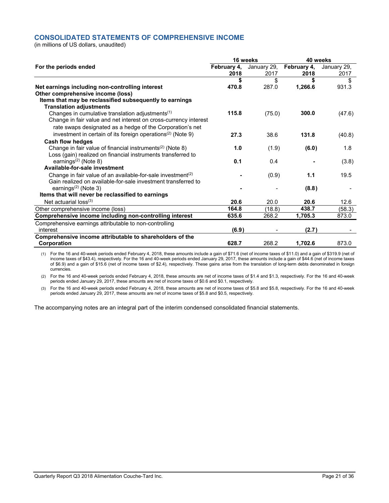# **CONSOLIDATED STATEMENTS OF COMPREHENSIVE INCOME**

(in millions of US dollars, unaudited)

|                                                                         |                     | 16 weeks            | 40 weeks            |                     |  |
|-------------------------------------------------------------------------|---------------------|---------------------|---------------------|---------------------|--|
| For the periods ended                                                   | February 4,<br>2018 | January 29,<br>2017 | February 4,<br>2018 | January 29,<br>2017 |  |
|                                                                         |                     | \$                  | \$                  | \$                  |  |
| Net earnings including non-controlling interest                         | 470.8               | 287.0               | 1,266.6             | 931.3               |  |
| Other comprehensive income (loss)                                       |                     |                     |                     |                     |  |
| Items that may be reclassified subsequently to earnings                 |                     |                     |                     |                     |  |
| <b>Translation adjustments</b>                                          |                     |                     |                     |                     |  |
| Changes in cumulative translation adjustments <sup>(1)</sup>            | 115.8               | (75.0)              | 300.0               | (47.6)              |  |
| Change in fair value and net interest on cross-currency interest        |                     |                     |                     |                     |  |
| rate swaps designated as a hedge of the Corporation's net               |                     |                     |                     |                     |  |
| investment in certain of its foreign operations <sup>(2)</sup> (Note 9) | 27.3                | 38.6                | 131.8               | (40.8)              |  |
| <b>Cash flow hedges</b>                                                 |                     |                     |                     |                     |  |
| Change in fair value of financial instruments <sup>(2)</sup> (Note 8)   | 1.0                 | (1.9)               | (6.0)               | 1.8                 |  |
| Loss (gain) realized on financial instruments transferred to            |                     |                     |                     |                     |  |
| earnings <sup><math>(2)</math></sup> (Note 8)                           | 0.1                 | 0.4                 |                     | (3.8)               |  |
| Available-for-sale investment                                           |                     |                     |                     |                     |  |
| Change in fair value of an available-for-sale investment <sup>(2)</sup> |                     | (0.9)               | 1.1                 | 19.5                |  |
| Gain realized on available-for-sale investment transferred to           |                     |                     |                     |                     |  |
| earnings $(2)$ (Note 3)                                                 |                     |                     | (8.8)               |                     |  |
| Items that will never be reclassified to earnings                       |                     |                     |                     |                     |  |
| Net actuarial $loss^{(3)}$                                              | 20.6                | 20.0                | 20.6                | 12.6                |  |
| Other comprehensive income (loss)                                       | 164.8               | (18.8)              | 438.7               | (58.3)              |  |
| Comprehensive income including non-controlling interest                 | 635.6               | 268.2               | 1,705.3             | 873.0               |  |
| Comprehensive earnings attributable to non-controlling                  |                     |                     |                     |                     |  |
| interest                                                                | (6.9)               |                     | (2.7)               |                     |  |
| Comprehensive income attributable to shareholders of the                |                     |                     |                     |                     |  |
| Corporation                                                             | 628.7               | 268.2               | 1,702.6             | 873.0               |  |

(1) For the 16 and 40-week periods ended February 4, 2018, these amounts include a gain of \$71.6 (net of income taxes of \$11.0) and a gain of \$319.9 (net of income taxes of \$43.4), respectively. For the 16 and 40-week periods ended January 29, 2017, these amounts include a gain of \$44.6 (net of income taxes of \$6.9) and a gain of \$15.6 (net of income taxes of \$2.4), respectively. These gains arise from the translation of long-term debts denominated in foreign currencies.

(2) For the 16 and 40-week periods ended February 4, 2018, these amounts are net of income taxes of \$1.4 and \$1.3, respectively. For the 16 and 40-week periods ended January 29, 2017, these amounts are net of income taxes of \$0.6 and \$0.1, respectively.

(3) For the 16 and 40-week periods ended February 4, 2018, these amounts are net of income taxes of \$5.8 and \$5.8, respectively. For the 16 and 40-week periods ended January 29, 2017, these amounts are net of income taxes of \$5.8 and \$0.5, respectively.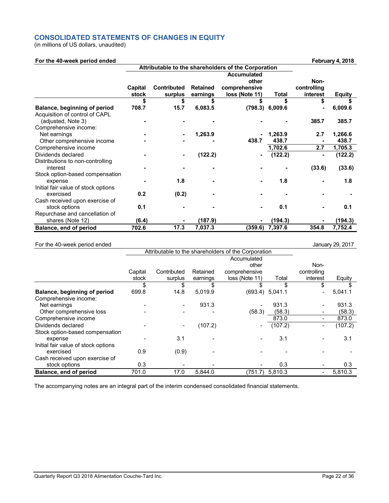# **CONSOLIDATED STATEMENTS OF CHANGES IN EQUITY**

(in millions of US dollars, unaudited)

| For the 40-week period ended        |         |                                                     |                 |                    |                   |             | February 4, 2018 |
|-------------------------------------|---------|-----------------------------------------------------|-----------------|--------------------|-------------------|-------------|------------------|
|                                     |         | Attributable to the shareholders of the Corporation |                 |                    |                   |             |                  |
|                                     |         |                                                     |                 | <b>Accumulated</b> |                   |             |                  |
|                                     |         |                                                     |                 | other              |                   | Non-        |                  |
|                                     | Capital | <b>Contributed</b>                                  | <b>Retained</b> | comprehensive      |                   | controlling |                  |
|                                     | stock   | surplus                                             | earnings        | loss (Note 11)     | <b>Total</b>      | interest    | <b>Equity</b>    |
|                                     | \$      | \$                                                  |                 | \$                 | \$                | \$          |                  |
| Balance, beginning of period        | 708.7   | 15.7                                                | 6,083.5         |                    | $(798.3)$ 6,009.6 |             | 6,009.6          |
| Acquisition of control of CAPL      |         |                                                     |                 |                    |                   |             |                  |
| (adjusted, Note 3)                  |         |                                                     |                 |                    |                   | 385.7       | 385.7            |
| Comprehensive income:               |         |                                                     |                 |                    |                   |             |                  |
| Net earnings                        |         |                                                     | 1,263.9         |                    | 1,263.9           | 2.7         | 1,266.6          |
| Other comprehensive income          |         |                                                     |                 | 438.7              | 438.7             |             | 438.7            |
| Comprehensive income                |         |                                                     |                 |                    | 1,702.6           | 2.7         | 1,705.3          |
| Dividends declared                  |         |                                                     | (122.2)         |                    | (122.2)           |             | (122.2)          |
| Distributions to non-controlling    |         |                                                     |                 |                    |                   |             |                  |
| interest                            |         |                                                     |                 |                    |                   | (33.6)      | (33.6)           |
| Stock option-based compensation     |         |                                                     |                 |                    |                   |             |                  |
| expense                             |         | 1.8                                                 |                 |                    | 1.8               |             | 1.8              |
| Initial fair value of stock options |         |                                                     |                 |                    |                   |             |                  |
| exercised                           | 0.2     | (0.2)                                               |                 |                    |                   |             |                  |
| Cash received upon exercise of      |         |                                                     |                 |                    |                   |             |                  |
| stock options                       | 0.1     |                                                     |                 |                    | 0.1               |             | 0.1              |
| Repurchase and cancellation of      |         |                                                     |                 |                    |                   |             |                  |
| shares (Note 12)                    | (6.4)   |                                                     | (187.9)         |                    | (194.3)           |             | (194.3)          |
| Balance, end of period              | 702.6   | 17.3                                                | 7,037.3         | (359.6)            | 7,397.6           | 354.8       | 7,752.4          |

# For the 40-week period ended **January 29, 2017**

|                                     |         | Attributable to the shareholders of the Corporation |          |                          |                   |             |         |
|-------------------------------------|---------|-----------------------------------------------------|----------|--------------------------|-------------------|-------------|---------|
|                                     |         |                                                     |          | Accumulated              |                   |             |         |
|                                     |         |                                                     |          | other                    |                   | Non-        |         |
|                                     | Capital | Contributed                                         | Retained | comprehensive            |                   | controlling |         |
|                                     | stock   | surplus                                             | earnings | loss (Note 11)           | Total             | interest    | Equity  |
|                                     | \$      | \$                                                  | \$       | \$                       | \$                | \$          |         |
| Balance, beginning of period        | 699.8   | 14.8                                                | 5,019.9  |                          | $(693.4)$ 5,041.1 |             | 5,041.1 |
| Comprehensive income:               |         |                                                     |          |                          |                   |             |         |
| Net earnings                        |         | $\overline{\phantom{a}}$                            | 931.3    | $\overline{\phantom{0}}$ | 931.3             |             | 931.3   |
| Other comprehensive loss            |         |                                                     |          | (58.3)                   | (58.3)            |             | (58.3)  |
| Comprehensive income                |         |                                                     |          |                          | 873.0             |             | 873.0   |
| Dividends declared                  |         | $\overline{\phantom{a}}$                            | (107.2)  | $\overline{\phantom{a}}$ | (107.2)           |             | (107.2) |
| Stock option-based compensation     |         |                                                     |          |                          |                   |             |         |
| expense                             |         | 3.1                                                 |          |                          | 3.1               |             | 3.1     |
| Initial fair value of stock options |         |                                                     |          |                          |                   |             |         |
| exercised                           | 0.9     | (0.9)                                               |          |                          |                   |             |         |
| Cash received upon exercise of      |         |                                                     |          |                          |                   |             |         |
| stock options                       | 0.3     |                                                     |          |                          | 0.3               |             | 0.3     |
| Balance, end of period              | 701.0   | 17.0                                                | 5,844.0  |                          | $(751.7)$ 5,810.3 |             | 5,810.3 |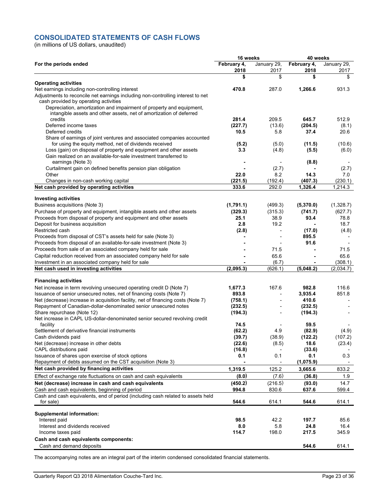# **CONSOLIDATED STATEMENTS OF CASH FLOWS**

(in millions of US dollars, unaudited)

|                                                                                                                                             | 16 weeks            |                     | 40 weeks            |                     |  |
|---------------------------------------------------------------------------------------------------------------------------------------------|---------------------|---------------------|---------------------|---------------------|--|
| For the periods ended                                                                                                                       | February 4,<br>2018 | January 29,<br>2017 | February 4,<br>2018 | January 29,<br>2017 |  |
|                                                                                                                                             | \$                  | \$                  | \$                  | \$                  |  |
| <b>Operating activities</b>                                                                                                                 |                     |                     |                     |                     |  |
| Net earnings including non-controlling interest<br>Adjustments to reconcile net earnings including non-controlling interest to net          | 470.8               | 287.0               | 1,266.6             | 931.3               |  |
| cash provided by operating activities                                                                                                       |                     |                     |                     |                     |  |
| Depreciation, amortization and impairment of property and equipment,<br>intangible assets and other assets, net of amortization of deferred |                     |                     |                     |                     |  |
| credits                                                                                                                                     | 281.4               | 209.5               | 645.7               | 512.9               |  |
| Deferred income taxes                                                                                                                       | (227.7)             | (13.6)              | (204.5)             | (8.1)               |  |
| Deferred credits                                                                                                                            | 10.5                | 5.8                 | 37.4                | 20.6                |  |
| Share of earnings of joint ventures and associated companies accounted<br>for using the equity method, net of dividends received            | (5.2)               | (5.0)               | (11.5)              | (10.6)              |  |
| Loss (gain) on disposal of property and equipment and other assets                                                                          | 33                  | (4.8)               | (5.5)               | (6.0)               |  |
| Gain realized on an available-for-sale investment transferred to<br>earnings (Note 3)                                                       |                     |                     | (8.8)               |                     |  |
| Curtailment gain on defined benefits pension plan obligation                                                                                |                     | (2.7)               |                     | (2.7)               |  |
| Other                                                                                                                                       | 22.0                | 8.2                 | 14.3                | 70                  |  |
| Changes in non-cash working capital                                                                                                         | (221.5)             | (192.4)             | (407.3)             | (230.1)             |  |
| Net cash provided by operating activities                                                                                                   | 333.6               | 292.0               | 1,326.4             | 1,214.3             |  |
| <b>Investing activities</b>                                                                                                                 |                     |                     |                     |                     |  |
| Business acquisitions (Note 3)                                                                                                              | (1,791.1)           | (499.3)             | (5,370.0)           | (1,328.7)           |  |
| Purchase of property and equipment, intangible assets and other assets                                                                      | (329.3)             | (315.3)             | (741.7)             | (627.7)             |  |
| Proceeds from disposal of property and equipment and other assets                                                                           | 25.1                | 38.9                | 93.4                | 78.8                |  |
| Deposit for business acquisition                                                                                                            | 2.8                 | 19.2                |                     | 18.7                |  |
| Restricted cash                                                                                                                             | (2.8)               |                     | (17.0)              | (4.8)               |  |
| Proceeds from disposal of CST's assets held for sale (Note 3)                                                                               |                     |                     | 895.5               |                     |  |
| Proceeds from disposal of an available-for-sale investment (Note 3)                                                                         |                     |                     | 91.6                |                     |  |
| Proceeds from sale of an associated company held for sale                                                                                   |                     | 71.5                |                     | 71.5                |  |
| Capital reduction received from an associated company held for sale                                                                         |                     | 65.6                |                     | 65.6                |  |
| Investment in an associated company held for sale                                                                                           |                     | (6.7)               |                     | (308.1)             |  |
| Net cash used in investing activities                                                                                                       | (2,095.3)           | (626.1)             | (5,048.2)           | (2,034.7)           |  |
|                                                                                                                                             |                     |                     |                     |                     |  |
| <b>Financing activities</b>                                                                                                                 |                     |                     |                     |                     |  |
| Net increase in term revolving unsecured operating credit D (Note 7)                                                                        | 1,677.3             | 167.6               | 982.8               | 116.6               |  |
| Issuance of senior unsecured notes, net of financing costs (Note 7)                                                                         | 893.8               |                     | 3,935.4             | 851.8               |  |
| Net (decrease) increase in acquisition facility, net of financing costs (Note 7)                                                            | (758.1)             |                     | 410.6               |                     |  |
| Repayment of Canadian-dollar-denominated senior unsecured notes                                                                             | (232.5)             |                     | (232.5)             |                     |  |
| Share repurchase (Note 12)<br>Net increase in CAPL US-dollar-denominated senior secured revolving credit                                    | (194.3)             |                     | (194.3)             |                     |  |
| facility                                                                                                                                    | 74.5                |                     | 59.5                |                     |  |
| Settlement of derivative financial instruments                                                                                              | (62.2)              | 4.9                 | (82.9)              | (4.9)               |  |
| Cash dividends paid                                                                                                                         | (39.7)              | (38.9)              | (122.2)             | (107.2)             |  |
| Net (decrease) increase in other debts                                                                                                      | (22.6)              | (8.5)               | 18.6                | (23.4)              |  |
| CAPL distributions paid                                                                                                                     | (16.8)              |                     | (33.6)              |                     |  |
| Issuance of shares upon exercise of stock options                                                                                           | 0.1                 | 0.1                 | 0.1                 | 0.3                 |  |
| Repayment of debts assumed on the CST acquisition (Note 3)                                                                                  |                     |                     | (1,075.9)           |                     |  |
| Net cash provided by financing activities                                                                                                   | 1,319.5             | 125.2               | 3,665.6             | 833.2               |  |
| Effect of exchange rate fluctuations on cash and cash equivalents                                                                           | (8.0)               | (7.6)               | (36.8)              | 1.9                 |  |
| Net (decrease) increase in cash and cash equivalents                                                                                        | (450.2)             | (216.5)             | (93.0)              | 14.7                |  |
| Cash and cash equivalents, beginning of period                                                                                              | 994.8               | 830.6               | 637.6               | 599.4               |  |
| Cash and cash equivalents, end of period (including cash related to assets held<br>for sale)                                                | 544.6               | 614.1               | 544.6               | 614.1               |  |
|                                                                                                                                             |                     |                     |                     |                     |  |
| <b>Supplemental information:</b>                                                                                                            |                     |                     |                     |                     |  |
| Interest paid                                                                                                                               | 98.5                | 42.2                | 197.7               | 85.6                |  |
| Interest and dividends received                                                                                                             | 8.0                 | 5.8                 | 24.8                | 16.4                |  |
| Income taxes paid<br>Cash and cash equivalents components:                                                                                  | 114.7               | 198.0               | 217.5               | 345.9               |  |
| Cash and demand deposits                                                                                                                    |                     |                     | 544.6               | 614.1               |  |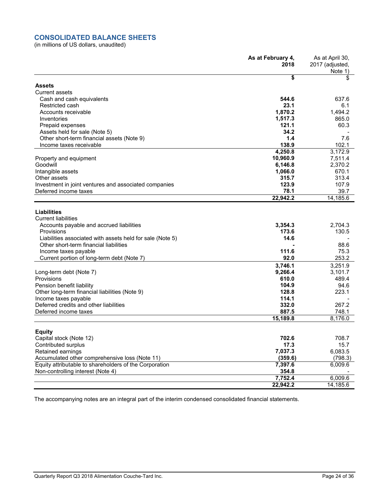# **CONSOLIDATED BALANCE SHEETS**

(in millions of US dollars, unaudited)

|                                                                                | As at February 4,<br>2018 | As at April 30,<br>2017 (adjusted,<br>Note 1) |
|--------------------------------------------------------------------------------|---------------------------|-----------------------------------------------|
|                                                                                | \$                        | \$                                            |
| Assets                                                                         |                           |                                               |
| <b>Current assets</b>                                                          |                           |                                               |
| Cash and cash equivalents                                                      | 544.6                     | 637.6                                         |
| Restricted cash                                                                | 23.1                      | 6.1                                           |
| Accounts receivable                                                            | 1,870.2                   | 1,494.2                                       |
| Inventories                                                                    | 1,517.3                   | 865.0                                         |
| Prepaid expenses                                                               | 121.1                     | 60.3                                          |
| Assets held for sale (Note 5)                                                  | 34.2                      |                                               |
| Other short-term financial assets (Note 9)                                     | 1.4                       | 7.6                                           |
| Income taxes receivable                                                        | 138.9                     | 102.1                                         |
|                                                                                | 4,250.8                   | 3,172.9                                       |
| Property and equipment                                                         | 10,960.9                  | 7,511.4                                       |
| Goodwill                                                                       | 6,146.8                   | 2,370.2                                       |
| Intangible assets                                                              | 1,066.0                   | 670.1                                         |
| Other assets                                                                   | 315.7<br>123.9            | 313.4                                         |
| Investment in joint ventures and associated companies<br>Deferred income taxes | 78.1                      | 107.9<br>39.7                                 |
|                                                                                | 22,942.2                  | 14,185.6                                      |
|                                                                                |                           |                                               |
| <b>Liabilities</b>                                                             |                           |                                               |
| <b>Current liabilities</b>                                                     |                           |                                               |
| Accounts payable and accrued liabilities                                       | 3,354.3                   | 2.704.3                                       |
| Provisions                                                                     | 173.6                     | 130.5                                         |
| Liabilities associated with assets held for sale (Note 5)                      | 14.6                      |                                               |
| Other short-term financial liabilities                                         |                           | 88.6                                          |
| Income taxes payable                                                           | 111.6                     | 75.3                                          |
| Current portion of long-term debt (Note 7)                                     | 92.0                      | 253.2                                         |
|                                                                                | 3,746.1                   | 3,251.9                                       |
| Long-term debt (Note 7)                                                        | 9,266.4                   | 3,101.7                                       |
| Provisions                                                                     | 610.0                     | 489.4                                         |
| Pension benefit liability                                                      | 104.9                     | 94.6                                          |
| Other long-term financial liabilities (Note 9)                                 | 128.8                     | 223.1                                         |
| Income taxes payable                                                           | 114.1                     |                                               |
| Deferred credits and other liabilities                                         | 332.0                     | 267.2                                         |
| Deferred income taxes                                                          | 887.5                     | 748.1                                         |
|                                                                                | 15,189.8                  | 8,176.0                                       |
|                                                                                |                           |                                               |
| <b>Equity</b>                                                                  | 702.6                     | 708.7                                         |
| Capital stock (Note 12)                                                        |                           | 15.7                                          |
| Contributed surplus<br>Retained earnings                                       | 17.3<br>7,037.3           | 6,083.5                                       |
| Accumulated other comprehensive loss (Note 11)                                 | (359.6)                   | (798.3)                                       |
| Equity attributable to shareholders of the Corporation                         | 7,397.6                   | 6,009.6                                       |
| Non-controlling interest (Note 4)                                              | 354.8                     |                                               |
|                                                                                | 7,752.4                   | 6,009.6                                       |
|                                                                                | 22,942.2                  | 14,185.6                                      |
|                                                                                |                           |                                               |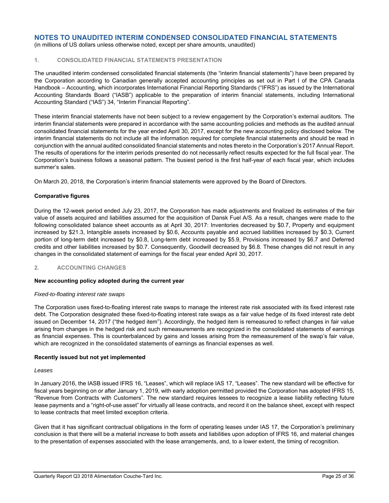(in millions of US dollars unless otherwise noted, except per share amounts, unaudited)

## **1. CONSOLIDATED FINANCIAL STATEMENTS PRESENTATION**

The unaudited interim condensed consolidated financial statements (the "interim financial statements") have been prepared by the Corporation according to Canadian generally accepted accounting principles as set out in Part I of the CPA Canada Handbook – Accounting, which incorporates International Financial Reporting Standards ("IFRS") as issued by the International Accounting Standards Board ("IASB") applicable to the preparation of interim financial statements, including International Accounting Standard ("IAS") 34, "Interim Financial Reporting".

These interim financial statements have not been subject to a review engagement by the Corporation's external auditors. The interim financial statements were prepared in accordance with the same accounting policies and methods as the audited annual consolidated financial statements for the year ended April 30, 2017, except for the new accounting policy disclosed below. The interim financial statements do not include all the information required for complete financial statements and should be read in conjunction with the annual audited consolidated financial statements and notes thereto in the Corporation's 2017 Annual Report. The results of operations for the interim periods presented do not necessarily reflect results expected for the full fiscal year. The Corporation's business follows a seasonal pattern. The busiest period is the first half-year of each fiscal year, which includes summer's sales.

On March 20, 2018, the Corporation's interim financial statements were approved by the Board of Directors.

#### **Comparative figures**

During the 12-week period ended July 23, 2017, the Corporation has made adjustments and finalized its estimates of the fair value of assets acquired and liabilities assumed for the acquisition of Dansk Fuel A/S. As a result, changes were made to the following consolidated balance sheet accounts as at April 30, 2017: Inventories decreased by \$0.7, Property and equipment increased by \$21.3, Intangible assets increased by \$0.6, Accounts payable and accrued liabilities increased by \$0.3, Current portion of long-term debt increased by \$0.8, Long-term debt increased by \$5.9, Provisions increased by \$6.7 and Deferred credits and other liabilities increased by \$0.7. Consequently, Goodwill decreased by \$6.8. These changes did not result in any changes in the consolidated statement of earnings for the fiscal year ended April 30, 2017.

#### **2. ACCOUNTING CHANGES**

#### **New accounting policy adopted during the current year**

#### *Fixed-to-floating interest rate swaps*

The Corporation uses fixed-to-floating interest rate swaps to manage the interest rate risk associated with its fixed interest rate debt. The Corporation designated these fixed-to-floating interest rate swaps as a fair value hedge of its fixed interest rate debt issued on December 14, 2017 ("the hedged item"). Accordingly, the hedged item is remeasured to reflect changes in fair value arising from changes in the hedged risk and such remeasurements are recognized in the consolidated statements of earnings as financial expenses. This is counterbalanced by gains and losses arising from the remeasurement of the swap's fair value, which are recognized in the consolidated statements of earnings as financial expenses as well.

#### **Recently issued but not yet implemented**

#### *Leases*

In January 2016, the IASB issued IFRS 16, "Leases", which will replace IAS 17, "Leases". The new standard will be effective for fiscal years beginning on or after January 1, 2019, with early adoption permitted provided the Corporation has adopted IFRS 15, "Revenue from Contracts with Customers". The new standard requires lessees to recognize a lease liability reflecting future lease payments and a "right-of-use asset" for virtually all lease contracts, and record it on the balance sheet, except with respect to lease contracts that meet limited exception criteria.

Given that it has significant contractual obligations in the form of operating leases under IAS 17, the Corporation's preliminary conclusion is that there will be a material increase to both assets and liabilities upon adoption of IFRS 16, and material changes to the presentation of expenses associated with the lease arrangements, and, to a lower extent, the timing of recognition.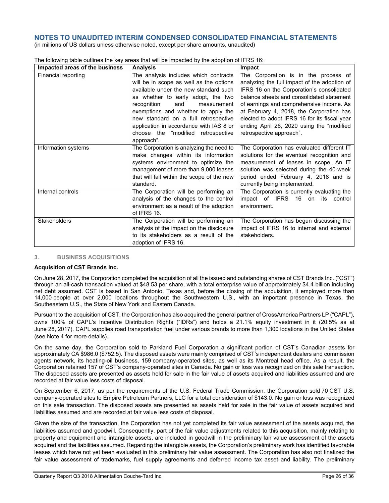(in millions of US dollars unless otherwise noted, except per share amounts, unaudited)

| Impacted areas of the business | <b>Analysis</b>                            | Impact                                       |
|--------------------------------|--------------------------------------------|----------------------------------------------|
| Financial reporting            | The analysis includes which contracts      | The Corporation is in the process of         |
|                                | will be in scope as well as the options    | analyzing the full impact of the adoption of |
|                                | available under the new standard such      | IFRS 16 on the Corporation's consolidated    |
|                                | as whether to early adopt, the two         | balance sheets and consolidated statement    |
|                                | recognition<br>and<br>measurement          | of earnings and comprehensive income. As     |
|                                | exemptions and whether to apply the        | at February 4, 2018, the Corporation has     |
|                                | new standard on a full retrospective       | elected to adopt IFRS 16 for its fiscal year |
|                                | application in accordance with IAS 8 or    | ending April 26, 2020 using the "modified    |
|                                | choose the "modified retrospective         | retrospective approach".                     |
|                                | approach".                                 |                                              |
| Information systems            | The Corporation is analyzing the need to   | The Corporation has evaluated different IT   |
|                                | make changes within its information        | solutions for the eventual recognition and   |
|                                | systems environment to optimize the        | measurement of leases in scope. An IT        |
|                                | management of more than 9,000 leases       | solution was selected during the 40-week     |
|                                | that will fall within the scope of the new | period ended February 4, 2018 and is         |
|                                | standard.                                  | currently being implemented.                 |
| Internal controls              | The Corporation will be performing an      | The Corporation is currently evaluating the  |
|                                | analysis of the changes to the control     | impact of IFRS 16 on its control             |
|                                | environment as a result of the adoption    | environment.                                 |
|                                | of IFRS 16.                                |                                              |
| <b>Stakeholders</b>            | The Corporation will be performing an      | The Corporation has begun discussing the     |
|                                | analysis of the impact on the disclosure   | impact of IFRS 16 to internal and external   |
|                                | to its stakeholders as a result of the     | stakeholders.                                |
|                                | adoption of IFRS 16.                       |                                              |

The following table outlines the key areas that will be impacted by the adoption of IFRS 16:

## **3. BUSINESS ACQUISITIONS**

#### **Acquisition of CST Brands Inc.**

On June 28, 2017, the Corporation completed the acquisition of all the issued and outstanding shares of CST Brands Inc. ("CST") through an all-cash transaction valued at \$48.53 per share, with a total enterprise value of approximately \$4.4 billion including net debt assumed. CST is based in San Antonio, Texas and, before the closing of the acquisition, it employed more than 14,000 people at over 2,000 locations throughout the Southwestern U.S., with an important presence in Texas, the Southeastern U.S., the State of New York and Eastern Canada.

Pursuant to the acquisition of CST, the Corporation has also acquired the general partner of CrossAmerica Partners LP ("CAPL"), owns 100% of CAPL's Incentive Distribution Rights ("IDRs") and holds a 21.1% equity investment in it (20.5% as at June 28, 2017). CAPL supplies road transportation fuel under various brands to more than 1,300 locations in the United States (see Note 4 for more details).

On the same day, the Corporation sold to Parkland Fuel Corporation a significant portion of CST's Canadian assets for approximately CA \$986.0 (\$752.5). The disposed assets were mainly comprised of CST's independent dealers and commission agents network, its heating-oil business, 159 company-operated sites, as well as its Montreal head office. As a result, the Corporation retained 157 of CST's company-operated sites in Canada. No gain or loss was recognized on this sale transaction. The disposed assets are presented as assets held for sale in the fair value of assets acquired and liabilities assumed and are recorded at fair value less costs of disposal.

On September 6, 2017, as per the requirements of the U.S. Federal Trade Commission, the Corporation sold 70 CST U.S. company-operated sites to Empire Petroleum Partners, LLC for a total consideration of \$143.0. No gain or loss was recognized on this sale transaction. The disposed assets are presented as assets held for sale in the fair value of assets acquired and liabilities assumed and are recorded at fair value less costs of disposal.

Given the size of the transaction, the Corporation has not yet completed its fair value assessment of the assets acquired, the liabilities assumed and goodwill. Consequently, part of the fair value adjustments related to this acquisition, mainly relating to property and equipment and intangible assets, are included in goodwill in the preliminary fair value assessment of the assets acquired and the liabilities assumed. Regarding the intangible assets, the Corporation's preliminary work has identified favorable leases which have not yet been evaluated in this preliminary fair value assessment. The Corporation has also not finalized the fair value assessment of trademarks, fuel supply agreements and deferred income tax asset and liability. The preliminary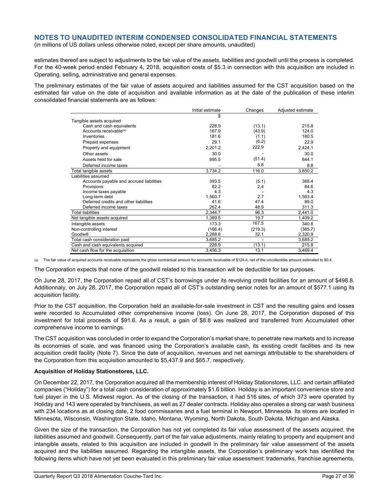(in millions of US dollars unless otherwise noted, except per share amounts, unaudited)

estimates thereof are subject to adjustments to the fair value of the assets, liabilities and goodwill until the process is completed. For the 40-week period ended February 4, 2018, acquisition costs of \$5.3 in connection with this acquisition are included in Operating, selling, administrative and general expenses.

The preliminary estimates of the fair value of assets acquired and liabilities assumed for the CST acquisition based on the estimated fair value on the date of acquisition and available information as at the date of the publication of these interim consolidated financial statements are as follows:

|                                          | Initial estimate | Changes | Adjusted estimate |
|------------------------------------------|------------------|---------|-------------------|
|                                          | \$               |         |                   |
| Tangible assets acquired                 |                  |         |                   |
| Cash and cash equivalents                | 228.9            | (13.1)  | 215.8             |
| Accounts receivable <sup>(a)</sup>       | 167.9            | (43.9)  | 124.0             |
| Inventories                              | 181.6            | (1.1)   | 180.5             |
| Prepaid expenses                         | 29.1             | (6.2)   | 22.9              |
| Property and equipment                   | 2,201.2          | 222.9   | 2,424.1           |
| Other assets                             | 30.0             |         | 30.0              |
| Assets held for sale                     | 895.5            | (51.4)  | 844.1             |
| Deferred income taxes                    |                  | 8.8     | 8.8               |
| Total tangible assets                    | 3,734.2          | 116.0   | 3,850.2           |
| Liabilities assumed                      |                  |         |                   |
| Accounts payable and accrued liabilities | 393.5            | (5.1)   | 388.4             |
| Provisions                               | 82.2             | 2.4     | 84.6              |
| Income taxes payable                     | 4.3              |         | 4.3               |
| Long-term debt                           | 1,560.7          | 2.7     | 1,563.4           |
| Deferred credits and other liabilities   | 41.6             | 47.4    | 89.0              |
| Deferred income taxes                    | 262.4            | 48.9    | 311.3             |
| <b>Total liabilities</b>                 | 2.344.7          | 96.3    | 2,441.0           |
| Net tangible assets acquired             | 1,389.5          | 19.7    | 1,409.2           |
| Intangible assets                        | 173.3            | 167.5   | 340.8             |
| Non-controlling interest                 | (166.4)          | (219.3) | (385.7)           |
| Goodwill                                 | 2,288.8          | 32.1    | 2,320.9           |
| Total cash consideration paid            | 3,685.2          |         | 3,685.2           |
| Cash and cash equivalents acquired       | 228.9            | (13.1)  | 215.8             |
| Net cash flow for the acquisition        | 3.456.3          | 13.1    | 3.469.4           |

(a) The fair value of acquired accounts receivable represents the gross contractual amount for accounts receivable of \$124.4, net of the uncollectible amount estimated to \$0.4.

The Corporation expects that none of the goodwill related to this transaction will be deductible for tax purposes.

On June 28, 2017, the Corporation repaid all of CST's borrowings under its revolving credit facilities for an amount of \$498.8. Additionnaly, on July 28, 2017, the Corporation repaid all of CST's outstanding senior notes for an amount of \$577.1 using its acquisition facility.

Prior to the CST acquisition, the Corporation held an available-for-sale investment in CST and the resulting gains and losses were recorded to Accumulated other comprehensive income (loss). On June 28, 2017, the Corporation disposed of this investment for total proceeds of \$91.6. As a result, a gain of \$8.8 was realized and transferred from Accumulated other comprehensive income to earnings.

The CST acquisition was concluded in order to expand the Corporation's market share, to penetrate new markets and to increase its economies of scale, and was financed using the Corporation's available cash, its existing credit facilities and its new acquisition credit facility (Note 7). Since the date of acquisition, revenues and net earnings attributable to the shareholders of the Corporation from this acquisition amounted to \$5,437.9 and \$65.7, respectively.

#### **Acquisition of Holiday Stationstores, LLC.**

On December 22, 2017, the Corporation acquired all the membership interest of Holiday Stationstores, LLC. and certain affiliated companies ("Holiday") for a total cash consideration of approximately \$1.6 billion. Holiday is an important convenience store and fuel player in the U.S. Midwest region. As of the closing of the transaction, it had 516 sites, of which 373 were operated by Holiday and 143 were operated by franchisees, as well as 27 dealer contracts. Holiday also operates a strong car wash business with 234 locations as at closing date, 2 food commissaries and a fuel terminal in Newport, Minnesota. Its stores are located in Minnesota, Wisconsin, Washington State, Idaho, Montana, Wyoming, North Dakota, South Dakota, Michigan and Alaska.

Given the size of the transaction, the Corporation has not yet completed its fair value assessment of the assets acquired, the liabilities assumed and goodwill. Consequently, part of the fair value adjustments, mainly relating to property and equipment and intangible assets, related to this acquisition are included in goodwill in the preliminary fair value assessment of the assets acquired and the liabilities assumed. Regarding the intangible assets, the Corporation's preliminary work has identified the following items which have not yet been evaluated in this preliminary fair value assessment: trademarks, franchise agreements,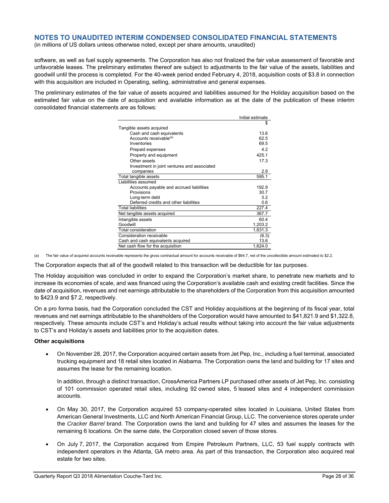(in millions of US dollars unless otherwise noted, except per share amounts, unaudited)

software, as well as fuel supply agreements. The Corporation has also not finalized the fair value assessment of favorable and unfavorable leases. The preliminary estimates thereof are subject to adjustments to the fair value of the assets, liabilities and goodwill until the process is completed. For the 40-week period ended February 4, 2018, acquisition costs of \$3.8 in connection with this acquisition are included in Operating, selling, administrative and general expenses.

The preliminary estimates of the fair value of assets acquired and liabilities assumed for the Holiday acquisition based on the estimated fair value on the date of acquisition and available information as at the date of the publication of these interim consolidated financial statements are as follows:

|                                             | Initial estimate |
|---------------------------------------------|------------------|
|                                             | S                |
| Tangible assets acquired                    |                  |
| Cash and cash equivalents                   | 136              |
| Accounts receivable <sup>(a)</sup>          | 62.5             |
| Inventories                                 | 69.5             |
| Prepaid expenses                            | 42               |
| Property and equipment                      | 4251             |
| Other assets                                | 17.3             |
| Investment in joint ventures and associated |                  |
| companies                                   | 2.9              |
| Total tangible assets                       | 595.1            |
| Liabilities assumed                         |                  |
| Accounts payable and accrued liabilities    | 192.9            |
| Provisions                                  | 30.7             |
| Long-term debt                              | 3.2              |
| Deferred credits and other liabilities      | 0.6              |
| <b>Total liabilities</b>                    | 227.4            |
| Net tangible assets acquired                | 367.7            |
| Intangible assets                           | 60.4             |
| Goodwill                                    | 1,203.2          |
| <b>Total consideration</b>                  | 1,631.3          |
| Consideration receivable                    | (6.3)            |
| Cash and cash equivalents acquired          | 13.6             |
| Net cash flow for the acquisition           | 1,624.0          |

(a) The fair value of acquired accounts receivable represents the gross contractual amount for accounts receivable of \$64.7, net of the uncollectible amount estimated to \$2.2.

The Corporation expects that all of the goodwill related to this transaction will be deductible for tax purposes.

The Holiday acquisition was concluded in order to expand the Corporation's market share, to penetrate new markets and to increase its economies of scale, and was financed using the Corporation's available cash and existing credit facilities. Since the date of acquisition, revenues and net earnings attributable to the shareholders of the Corporation from this acquisition amounted to \$423.9 and \$7.2, respectively.

On a pro forma basis, had the Corporation concluded the CST and Holiday acquisitions at the beginning of its fiscal year, total revenues and net earnings attributable to the shareholders of the Corporation would have amounted to \$41,821.9 and \$1,322.8, respectively. These amounts include CST's and Holiday's actual results without taking into account the fair value adjustments to CST's and Holiday's assets and liabilities prior to the acquisition dates.

#### **Other acquisitions**

 On November 28, 2017, the Corporation acquired certain assets from Jet Pep, Inc., including a fuel terminal, associated trucking equipment and 18 retail sites located in Alabama. The Corporation owns the land and building for 17 sites and assumes the lease for the remaining location.

In addition, through a distinct transaction, CrossAmerica Partners LP purchased other assets of Jet Pep, Inc. consisting of 101 commission operated retail sites, including 92 owned sites, 5 leased sites and 4 independent commission accounts.

- On May 30, 2017, the Corporation acquired 53 company-operated sites located in Louisiana, United States from American General Investments, LLC and North American Financial Group, LLC. The convenience stores operate under the *Cracker Barrel* brand. The Corporation owns the land and building for 47 sites and assumes the leases for the remaining 6 locations. On the same date, the Corporation closed seven of those stores.
- On July 7, 2017, the Corporation acquired from Empire Petroleum Partners, LLC, 53 fuel supply contracts with independent operators in the Atlanta, GA metro area. As part of this transaction, the Corporation also acquired real estate for two sites.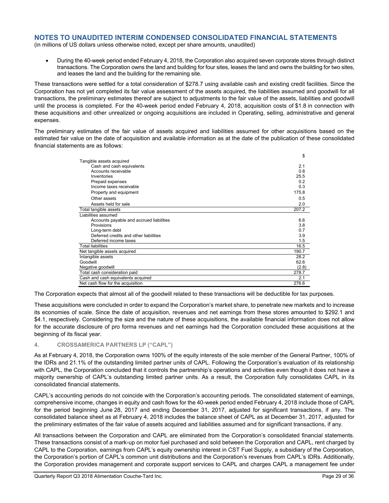(in millions of US dollars unless otherwise noted, except per share amounts, unaudited)

 During the 40-week period ended February 4, 2018, the Corporation also acquired seven corporate stores through distinct transactions. The Corporation owns the land and building for four sites, leases the land and owns the building for two sites, and leases the land and the building for the remaining site.

These transactions were settled for a total consideration of \$278.7 using available cash and existing credit facilities. Since the Corporation has not yet completed its fair value assessment of the assets acquired, the liabilities assumed and goodwill for all transactions, the preliminary estimates thereof are subject to adjustments to the fair value of the assets, liabilities and goodwill until the process is completed. For the 40-week period ended February 4, 2018, acquisition costs of \$1.8 in connection with these acquisitions and other unrealized or ongoing acquisitions are included in Operating, selling, administrative and general expenses.

The preliminary estimates of the fair value of assets acquired and liabilities assumed for other acquisitions based on the estimated fair value on the date of acquisition and available information as at the date of the publication of these consolidated financial statements are as follows:

|                                          | \$    |
|------------------------------------------|-------|
| Tangible assets acquired                 |       |
| Cash and cash equivalents                | 2.1   |
| Accounts receivable                      | 0.8   |
| Inventories                              | 25.5  |
| Prepaid expenses                         | 0.2   |
| Income taxes receivable                  | 0.3   |
| Property and equipment                   | 175.8 |
| Other assets                             | 0.5   |
| Assets held for sale                     | 2.0   |
| Total tangible assets                    | 207.2 |
| Liabilities assumed                      |       |
| Accounts payable and accrued liabilities | 6.6   |
| Provisions                               | 3.8   |
| Long-term debt                           | 0.7   |
| Deferred credits and other liabilities   | 3.9   |
| Deferred income taxes                    | 1.5   |
| <b>Total liabilities</b>                 | 16.5  |
| Net tangible assets acquired             | 190.7 |
| Intangible assets                        | 28.2  |
| Goodwill                                 | 62.6  |
| Negative goodwill                        | (2.8) |
| Total cash consideration paid            | 278.7 |
| Cash and cash equivalents acquired       | 2.1   |
| Net cash flow for the acquisition        | 276.6 |

The Corporation expects that almost all of the goodwill related to these transactions will be deductible for tax purposes.

These acquisitions were concluded in order to expand the Corporation's market share, to penetrate new markets and to increase its economies of scale. Since the date of acquisition, revenues and net earnings from these stores amounted to \$292.1 and \$4.1, respectively. Considering the size and the nature of these acquisitions, the available financial information does not allow for the accurate disclosure of pro forma revenues and net earnings had the Corporation concluded these acquisitions at the beginning of its fiscal year.

#### **4. CROSSAMERICA PARTNERS LP ("CAPL")**

As at February 4, 2018, the Corporation owns 100% of the equity interests of the sole member of the General Partner, 100% of the IDRs and 21.1% of the outstanding limited partner units of CAPL. Following the Corporation's evaluation of its relationship with CAPL, the Corporation concluded that it controls the partnership's operations and activities even though it does not have a majority ownership of CAPL's outstanding limited partner units. As a result, the Corporation fully consolidates CAPL in its consolidated financial statements.

CAPL's accounting periods do not coincide with the Corporation's accounting periods. The consolidated statement of earnings, comprehensive income, changes in equity and cash flows for the 40-week period ended February 4, 2018 include those of CAPL for the period beginning June 28, 2017 and ending December 31, 2017, adjusted for significant transactions, if any. The consolidated balance sheet as at February 4, 2018 includes the balance sheet of CAPL as at December 31, 2017, adjusted for the preliminary estimates of the fair value of assets acquired and liabilities assumed and for significant transactions, if any.

All transactions between the Corporation and CAPL are eliminated from the Corporation's consolidated financial statements. These transactions consist of a mark-up on motor fuel purchased and sold between the Corporation and CAPL, rent charged by CAPL to the Corporation, earnings from CAPL's equity ownership interest in CST Fuel Supply, a subsidiary of the Corporation, the Corporation's portion of CAPL's common unit distributions and the Corporation's revenues from CAPL's IDRs. Additionally, the Corporation provides management and corporate support services to CAPL and charges CAPL a management fee under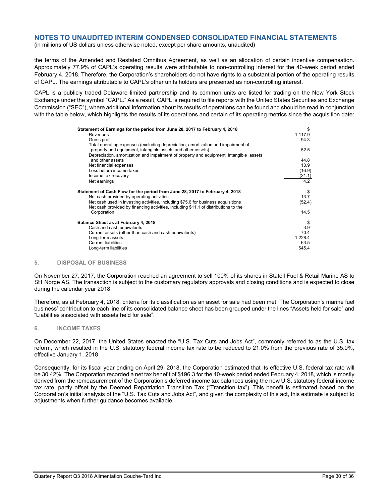(in millions of US dollars unless otherwise noted, except per share amounts, unaudited)

the terms of the Amended and Restated Omnibus Agreement, as well as an allocation of certain incentive compensation. Approximately 77.9% of CAPL's operating results were attributable to non-controlling interest for the 40-week period ended February 4, 2018. Therefore, the Corporation's shareholders do not have rights to a substantial portion of the operating results of CAPL. The earnings attributable to CAPL's other units holders are presented as non-controlling interest.

CAPL is a publicly traded Delaware limited partnership and its common units are listed for trading on the New York Stock Exchange under the symbol "CAPL." As a result, CAPL is required to file reports with the United States Securities and Exchange Commission ("SEC"), where additional information about its results of operations can be found and should be read in conjunction with the table below, which highlights the results of its operations and certain of its operating metrics since the acquisition date:

| Statement of Earnings for the period from June 28, 2017 to February 4, 2018                                                                                              | \$      |
|--------------------------------------------------------------------------------------------------------------------------------------------------------------------------|---------|
| Revenues                                                                                                                                                                 | 1,117.9 |
| Gross profit                                                                                                                                                             | 94.3    |
| Total operating expenses (excluding depreciation, amortization and impairment of<br>property and equipment, intangible assets and other assets)                          | 52.5    |
| Depreciation, amortization and impairment of property and equipment, intangible assets<br>and other assets                                                               | 44.8    |
| Net financial expenses                                                                                                                                                   | 13.9    |
| Loss before income taxes                                                                                                                                                 | (16.9)  |
| Income tax recovery                                                                                                                                                      | (21.1)  |
| Net earnings                                                                                                                                                             | 4.2     |
|                                                                                                                                                                          |         |
| Statement of Cash Flow for the period from June 28, 2017 to February 4, 2018                                                                                             | \$      |
| Net cash provided by operating activities                                                                                                                                | 13.7    |
| Net cash used in investing activities, including \$75.6 for business acquisitions<br>Net cash provided by financing activities, including \$11.1 of distributions to the | (52.4)  |
| Corporation                                                                                                                                                              | 14.5    |
| Balance Sheet as at February 4, 2018                                                                                                                                     | \$      |
| Cash and cash equivalents                                                                                                                                                | 3.9     |
| Current assets (other than cash and cash equivalents)                                                                                                                    | 70.4    |
| Long-term assets                                                                                                                                                         | 1,228.4 |
| <b>Current liabilities</b>                                                                                                                                               | 63.5    |
| Long-term liabilities                                                                                                                                                    | 645.4   |
|                                                                                                                                                                          |         |

#### **5. DISPOSAL OF BUSINESS**

On November 27, 2017, the Corporation reached an agreement to sell 100% of its shares in Statoil Fuel & Retail Marine AS to St1 Norge AS. The transaction is subject to the customary regulatory approvals and closing conditions and is expected to close during the calendar year 2018.

Therefore, as at February 4, 2018, criteria for its classification as an asset for sale had been met. The Corporation's marine fuel business' contribution to each line of its consolidated balance sheet has been grouped under the lines "Assets held for sale" and "Liabilities associated with assets held for sale".

#### **6. INCOME TAXES**

On December 22, 2017, the United States enacted the "U.S. Tax Cuts and Jobs Act", commonly referred to as the U.S. tax reform, which resulted in the U.S. statutory federal income tax rate to be reduced to 21.0% from the previous rate of 35.0%, effective January 1, 2018.

Consequently, for its fiscal year ending on April 29, 2018, the Corporation estimated that its effective U.S. federal tax rate will be 30.42%. The Corporation recorded a net tax benefit of \$196.3 for the 40-week period ended February 4, 2018, which is mostly derived from the remeasurement of the Corporation's deferred income tax balances using the new U.S. statutory federal income tax rate, partly offset by the Deemed Repatriation Transition Tax ("Transition tax"). This benefit is estimated based on the Corporation's initial analysis of the "U.S. Tax Cuts and Jobs Act", and given the complexity of this act, this estimate is subject to adjustments when further guidance becomes available.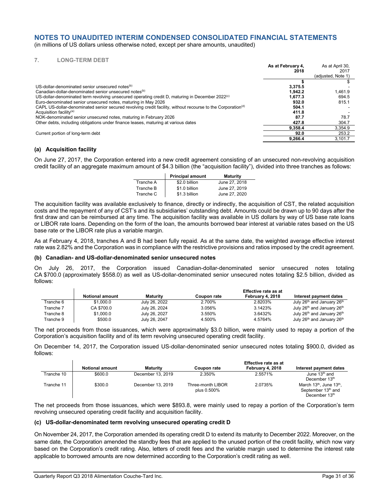(in millions of US dollars unless otherwise noted, except per share amounts, unaudited)

#### **7. LONG-TERM DEBT**

|                                                                                                                         | As at February 4.<br>2018 | As at April 30.<br>2017 |
|-------------------------------------------------------------------------------------------------------------------------|---------------------------|-------------------------|
|                                                                                                                         |                           | (adjusted, Note 1)      |
|                                                                                                                         |                           |                         |
| US-dollar-denominated senior unsecured notes <sup>(b)</sup>                                                             | 3.375.5                   |                         |
| Canadian-dollar-denominated senior unsecured notes <sup>(b)</sup>                                                       | 1.942.2                   | 1.461.9                 |
| US-dollar-denominated term revolving unsecured operating credit D, maturing in December 2022 <sup>(c)</sup>             | 1.677.3                   | 694.5                   |
| Euro-denominated senior unsecured notes, maturing in May 2026                                                           | 932.0                     | 815.1                   |
| CAPL US-dollar-denominated senior secured revolving credit facility, without recourse to the Corporation <sup>(d)</sup> | 504.1                     |                         |
| Acquisition facility <sup>(a)</sup>                                                                                     | 411.8                     |                         |
| NOK-denominated senior unsecured notes, maturing in February 2026                                                       | 87.7                      | 78.7                    |
| Other debts, including obligations under finance leases, maturing at various dates                                      | 427.8                     | 304.7                   |
|                                                                                                                         | 9.358.4                   | 3,354.9                 |
| Current portion of long-term debt                                                                                       | 92.0                      | 253.2                   |
|                                                                                                                         | 9.266.4                   | 3.101.7                 |

#### **(a) Acquisition facility**

On June 27, 2017, the Corporation entered into a new credit agreement consisting of an unsecured non-revolving acquisition credit facility of an aggregate maximum amount of \$4.3 billion (the "acquisition facility"), divided into three tranches as follows:

|           | <b>Principal amount</b> | <b>Maturity</b> |
|-----------|-------------------------|-----------------|
| Tranche A | \$2.0 billion           | June 27, 2018   |
| Tranche B | \$1.0 billion           | June 27, 2019   |
| Tranche C | \$1.3 billion           | June 27, 2020   |

The acquisition facility was available exclusively to finance, directly or indirectly, the acquisition of CST, the related acquisition costs and the repayment of any of CST's and its subsidiaries' outstanding debt. Amounts could be drawn up to 90 days after the first draw and can be reimbursed at any time. The acquisition facility was available in US dollars by way of US base rate loans or LIBOR rate loans. Depending on the form of the loan, the amounts borrowed bear interest at variable rates based on the US base rate or the LIBOR rate plus a variable margin.

As at February 4, 2018, tranches A and B had been fully repaid. As at the same date, the weighted average effective interest rate was 2.82% and the Corporation was in compliance with the restrictive provisions and ratios imposed by the credit agreement.

#### **(b) Canadian- and US-dollar-denominated senior unsecured notes**

On July 26, 2017, the Corporation issued Canadian-dollar-denominated senior unsecured notes totaling CA \$700.0 (approximately \$558.0) as well as US-dollar-denominated senior unsecured notes totaling \$2.5 billion, divided as follows:

|           |                        |                 |                    | <b>Effective rate as at</b> |                                                    |
|-----------|------------------------|-----------------|--------------------|-----------------------------|----------------------------------------------------|
|           | <b>Notional amount</b> | <b>Maturity</b> | <b>Coupon rate</b> | February 4, 2018            | Interest payment dates                             |
| Tranche 6 | \$1,000.0              | July 26, 2022   | 2.700%             | 2.8203%                     | July 26 <sup>th</sup> and January 26 <sup>th</sup> |
| Tranche 7 | CA \$700.0             | July 26, 2024   | 3.056%             | 3.1423%                     | July 26 <sup>th</sup> and January 26 <sup>th</sup> |
| Tranche 8 | \$1,000.0              | July 26, 2027   | 3.550%             | 3.6432%                     | July 26 <sup>th</sup> and January 26 <sup>th</sup> |
| Tranche 9 | \$500.0                | July 26, 2047   | 4.500%             | 4.5764%                     | July 26 <sup>th</sup> and January 26 <sup>th</sup> |

The net proceeds from those issuances, which were approximately \$3.0 billion, were mainly used to repay a portion of the Corporation's acquisition facility and of its term revolving unsecured operating credit facility.

On December 14, 2017, the Corporation issued US-dollar-denominated senior unsecured notes totaling \$900.0, divided as follows:

|            |                        |                   |                                  | Effective rate as at |                                                                                    |
|------------|------------------------|-------------------|----------------------------------|----------------------|------------------------------------------------------------------------------------|
|            | <b>Notional amount</b> | <b>Maturity</b>   | Coupon rate                      | February 4, 2018     | Interest payment dates                                                             |
| Tranche 10 | \$600.0                | December 13, 2019 | 2.350%                           | 2.5571%              | June $13th$ and<br>December 13th                                                   |
| Tranche 11 | \$300.0                | December 13, 2019 | Three-month LIBOR<br>plus 0.500% | 2.0735%              | March 13 <sup>th</sup> , June 13 <sup>th</sup> ,<br>September 13 <sup>th</sup> and |
|            |                        |                   |                                  |                      | December 13th                                                                      |

The net proceeds from those issuances, which were \$893.8, were mainly used to repay a portion of the Corporation's term revolving unsecured operating credit facility and acquisition facility.

#### **(c) US-dollar-denominated term revolving unsecured operating credit D**

On November 24, 2017, the Corporation amended its operating credit D to extend its maturity to December 2022. Moreover, on the same date, the Corporation amended the standby fees that are applied to the unused portion of the credit facility, which now vary based on the Corporation's credit rating. Also, letters of credit fees and the variable margin used to determine the interest rate applicable to borrowed amounts are now determined according to the Corporation's credit rating as well.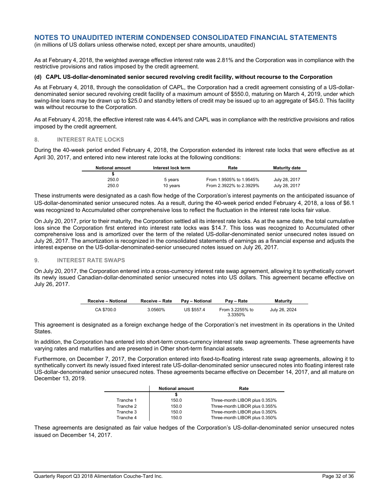(in millions of US dollars unless otherwise noted, except per share amounts, unaudited)

As at February 4, 2018, the weighted average effective interest rate was 2.81% and the Corporation was in compliance with the restrictive provisions and ratios imposed by the credit agreement.

#### **(d) CAPL US-dollar-denominated senior secured revolving credit facility, without recourse to the Corporation**

As at February 4, 2018, through the consolidation of CAPL, the Corporation had a credit agreement consisting of a US-dollardenominated senior secured revolving credit facility of a maximum amount of \$550.0, maturing on March 4, 2019, under which swing-line loans may be drawn up to \$25.0 and standby letters of credit may be issued up to an aggregate of \$45.0. This facility was without recourse to the Corporation.

As at February 4, 2018, the effective interest rate was 4.44% and CAPL was in compliance with the restrictive provisions and ratios imposed by the credit agreement.

#### **8. INTEREST RATE LOCKS**

During the 40-week period ended February 4, 2018, the Corporation extended its interest rate locks that were effective as at April 30, 2017, and entered into new interest rate locks at the following conditions:

| <b>Notional amount</b> | Interest lock term | Rate                    | <b>Maturity date</b> |
|------------------------|--------------------|-------------------------|----------------------|
|                        |                    |                         |                      |
| 250.0                  | 5 years            | From 1.9505% to 1.9545% | July 28, 2017        |
| 250.0                  | 10 vears           | From 2.3922% to 2.3929% | July 28, 2017        |

These instruments were designated as a cash flow hedge of the Corporation's interest payments on the anticipated issuance of US-dollar-denominated senior unsecured notes. As a result, during the 40-week period ended February 4, 2018, a loss of \$6.1 was recognized to Accumulated other comprehensive loss to reflect the fluctuation in the interest rate locks fair value.

On July 20, 2017, prior to their maturity, the Corporation settled all its interest rate locks. As at the same date, the total cumulative loss since the Corporation first entered into interest rate locks was \$14.7. This loss was recognized to Accumulated other comprehensive loss and is amortized over the term of the related US-dollar-denominated senior unsecured notes issued on July 26, 2017. The amortization is recognized in the consolidated statements of earnings as a financial expense and adjusts the interest expense on the US-dollar-denominated-senior unsecured notes issued on July 26, 2017.

#### **9. INTEREST RATE SWAPS**

On July 20, 2017, the Corporation entered into a cross-currency interest rate swap agreement, allowing it to synthetically convert its newly issued Canadian-dollar-denominated senior unsecured notes into US dollars. This agreement became effective on July 26, 2017.

| <b>Receive - Notional</b> | Receive - Rate | <b>Pav – Notional</b> | Pav – Rate                 | <b>Maturity</b> |
|---------------------------|----------------|-----------------------|----------------------------|-----------------|
| CA \$700.0                | 3.0560%        | US \$557.4            | From 3.2255% to<br>3.3350% | July 26, 2024   |

This agreement is designated as a foreign exchange hedge of the Corporation's net investment in its operations in the United States.

In addition, the Corporation has entered into short-term cross-currency interest rate swap agreements. These agreements have varying rates and maturities and are presented in Other short-term financial assets.

Furthermore, on December 7, 2017, the Corporation entered into fixed-to-floating interest rate swap agreements, allowing it to synthetically convert its newly issued fixed interest rate US-dollar-denominated senior unsecured notes into floating interest rate US-dollar-denominated senior unsecured notes. These agreements became effective on December 14, 2017, and all mature on December 13, 2019.

|           | <b>Notional amount</b> | Rate                          |
|-----------|------------------------|-------------------------------|
|           |                        |                               |
| Tranche 1 | 150.0                  | Three-month LIBOR plus 0.353% |
| Tranche 2 | 150.0                  | Three-month LIBOR plus 0.355% |
| Tranche 3 | 150.0                  | Three-month LIBOR plus 0.350% |
| Tranche 4 | 150.0                  | Three-month LIBOR plus 0.350% |

These agreements are designated as fair value hedges of the Corporation's US-dollar-denominated senior unsecured notes issued on December 14, 2017.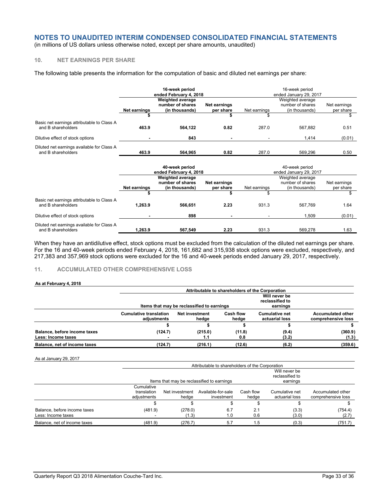(in millions of US dollars unless otherwise noted, except per share amounts, unaudited)

## **10. NET EARNINGS PER SHARE**

The following table presents the information for the computation of basic and diluted net earnings per share:

|                                                                  |                                                      | 16-week period<br>ended February 4, 2018                      |                           | 16-week period<br>ended January 29, 2017 |                                                        |                           |  |
|------------------------------------------------------------------|------------------------------------------------------|---------------------------------------------------------------|---------------------------|------------------------------------------|--------------------------------------------------------|---------------------------|--|
|                                                                  | <b>Net earnings</b>                                  | <b>Weighted average</b><br>number of shares<br>(in thousands) | Net earnings<br>per share | Net earnings                             | Weighted average<br>number of shares<br>(in thousands) | Net earnings<br>per share |  |
|                                                                  |                                                      |                                                               |                           |                                          |                                                        | \$                        |  |
| Basic net earnings attributable to Class A<br>and B shareholders | 463.9                                                | 564,122                                                       | 0.82                      | 287.0                                    | 567,882                                                | 0.51                      |  |
| Dilutive effect of stock options                                 |                                                      | 843                                                           |                           |                                          | 1,414                                                  | (0.01)                    |  |
| Diluted net earnings available for Class A<br>and B shareholders | 463.9                                                | 564,965                                                       | 0.82                      | 287.0                                    | 569,296                                                | 0.50                      |  |
|                                                                  | 40-week period<br>ended February 4, 2018             |                                                               |                           | 40-week period<br>ended January 29, 2017 |                                                        |                           |  |
|                                                                  | Weighted average<br>number of shares<br>Net earnings |                                                               |                           | Weighted average<br>number of shares     | Net earnings                                           |                           |  |
|                                                                  | Net earnings                                         | (in thousands)                                                | per share                 | Net earnings                             | (in thousands)                                         | per share                 |  |
|                                                                  |                                                      |                                                               |                           | \$.                                      |                                                        | \$                        |  |
| Basic net earnings attributable to Class A<br>and B shareholders | 1,263.9                                              | 566,651                                                       | 2.23                      | 931.3                                    | 567,769                                                | 1.64                      |  |
| Dilutive effect of stock options                                 |                                                      | 898                                                           |                           |                                          | 1,509                                                  | (0.01)                    |  |
| Diluted net earnings available for Class A<br>and B shareholders | 1,263.9                                              | 567,549                                                       | 2.23                      | 931.3                                    | 569,278                                                | 1.63                      |  |

When they have an antidilutive effect, stock options must be excluded from the calculation of the diluted net earnings per share. For the 16 and 40-week periods ended February 4, 2018, 161,682 and 315,938 stock options were excluded, respectively, and 217,383 and 357,969 stock options were excluded for the 16 and 40-week periods ended January 29, 2017, respectively.

## **11. ACCUMULATED OTHER COMPREHENSIVE LOSS**

#### **As at February 4, 2018**

|                                                    |                                              | Attributable to shareholders of the Corporation                                            |                    |                                         |                                                |  |  |  |  |
|----------------------------------------------------|----------------------------------------------|--------------------------------------------------------------------------------------------|--------------------|-----------------------------------------|------------------------------------------------|--|--|--|--|
|                                                    |                                              | Will never be<br>reclassified to<br>Items that may be reclassified to earnings<br>earnings |                    |                                         |                                                |  |  |  |  |
|                                                    | <b>Cumulative translation</b><br>adiustments | <b>Net investment</b><br>hedge                                                             | Cash flow<br>hedge | <b>Cumulative net</b><br>actuarial loss | <b>Accumulated other</b><br>comprehensive loss |  |  |  |  |
|                                                    |                                              |                                                                                            |                    |                                         |                                                |  |  |  |  |
| Balance, before income taxes<br>Less: Income taxes | (124.7)                                      | (215.0)<br>1.1                                                                             | (11.8)<br>0.8      | (9.4)<br>(3.2)                          | (360.9)<br>(1.3)                               |  |  |  |  |
| Balance, net of income taxes                       | (124.7)                                      | (216.1)                                                                                    | (12.6)             | (6.2)                                   | (359.6)                                        |  |  |  |  |

#### As at January 29, 2017

|                                                    |                                          | Attributable to shareholders of the Corporation                                            |                                  |                    |                                  |                                         |  |  |  |
|----------------------------------------------------|------------------------------------------|--------------------------------------------------------------------------------------------|----------------------------------|--------------------|----------------------------------|-----------------------------------------|--|--|--|
|                                                    |                                          | Will never be<br>reclassified to<br>Items that may be reclassified to earnings<br>earnings |                                  |                    |                                  |                                         |  |  |  |
|                                                    | Cumulative<br>translation<br>adjustments | Net investment<br>hedae                                                                    | Available-for-sale<br>investment | Cash flow<br>hedge | Cumulative net<br>actuarial loss | Accumulated other<br>comprehensive loss |  |  |  |
|                                                    |                                          |                                                                                            |                                  |                    |                                  |                                         |  |  |  |
| Balance, before income taxes<br>Less: Income taxes | (481.9)                                  | (278.0)<br>(1.3)                                                                           | 6.7<br>1.0                       | 2.1<br>0.6         | (3.3)<br>(3.0)                   | (754.4)<br>(2.7)                        |  |  |  |
| Balance, net of income taxes                       | (481.9)                                  | (276.7)                                                                                    | 5.7                              | 1.5                | (0.3)                            | (751.7)                                 |  |  |  |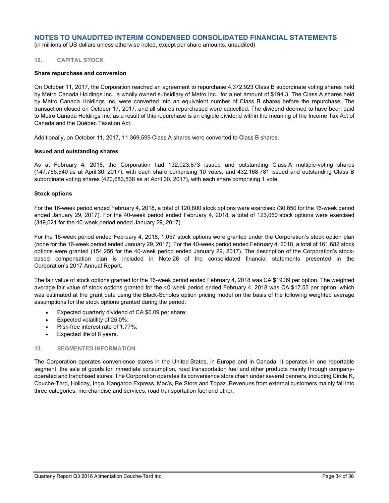(in millions of US dollars unless otherwise noted, except per share amounts, unaudited)

#### **12. CAPITAL STOCK**

#### **Share repurchase and conversion**

On October 11, 2017, the Corporation reached an agreement to repurchase 4,372,923 Class B subordinate voting shares held by Metro Canada Holdings Inc., a wholly owned subsidiary of Metro Inc., for a net amount of \$194.3. The Class A shares held by Metro Canada Holdings Inc. were converted into an equivalent number of Class B shares before the repurchase. The transaction closed on October 17, 2017, and all shares repurchased were cancelled. The dividend deemed to have been paid to Metro Canada Holdings Inc. as a result of this repurchase is an eligible dividend within the meaning of the Income Tax Act of Canada and the Québec Taxation Act.

Additionally, on October 11, 2017, 11,369,599 Class A shares were converted to Class B shares.

#### **Issued and outstanding shares**

As at February 4, 2018, the Corporation had 132,023,873 issued and outstanding Class A multiple-voting shares (147,766,540 as at April 30, 2017), with each share comprising 10 votes, and 432,168,781 issued and outstanding Class B subordinate voting shares (420,683,538 as at April 30, 2017), with each share comprising 1 vote.

#### **Stock options**

For the 16-week period ended February 4, 2018, a total of 120,800 stock options were exercised (30,650 for the 16-week period ended January 29, 2017). For the 40-week period ended February 4, 2018, a total of 123,060 stock options were exercised (349,621 for the 40-week period ended January 29, 2017).

For the 16-week period ended February 4, 2018, 1,057 stock options were granted under the Corporation's stock option plan (none for the 16-week period ended January 29, 2017). For the 40-week period ended February 4, 2018, a total of 161,682 stock options were granted (154,256 for the 40-week period ended January 29, 2017). The description of the Corporation's stockbased compensation plan is included in Note 26 of the consolidated financial statements presented in the Corporation's 2017 Annual Report.

The fair value of stock options granted for the 16-week period ended February 4, 2018 was CA \$19.39 per option. The weighted average fair value of stock options granted for the 40-week period ended February 4, 2018 was CA \$17.55 per option, which was estimated at the grant date using the Black-Scholes option pricing model on the basis of the following weighted average assumptions for the stock options granted during the period:

- Expected quarterly dividend of CA \$0.09 per share;
- Expected volatility of 25.0%;
- Risk-free interest rate of 1.77%;
- Expected life of 8 years.

#### **13. SEGMENTED INFORMATION**

The Corporation operates convenience stores in the United States, in Europe and in Canada. It operates in one reportable segment, the sale of goods for immediate consumption, road transportation fuel and other products mainly through companyoperated and franchised stores. The Corporation operates its convenience store chain under several banners, including Circle K, Couche-Tard, Holiday, Ingo, Kangaroo Express, Mac's, Re.Store and Topaz. Revenues from external customers mainly fall into three categories: merchandise and services, road transportation fuel and other.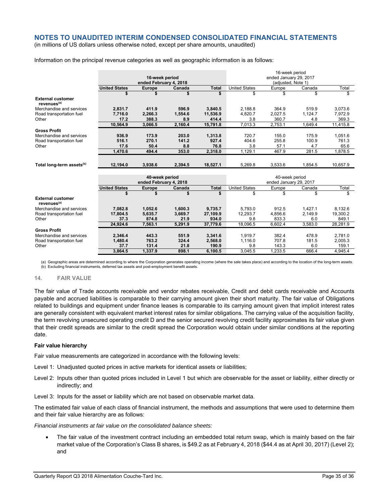(in millions of US dollars unless otherwise noted, except per share amounts, unaudited)

#### Information on the principal revenue categories as well as geographic information is as follows:

|                                                     |                                          |                        |         |              |                                              | 16-week period |         |          |
|-----------------------------------------------------|------------------------------------------|------------------------|---------|--------------|----------------------------------------------|----------------|---------|----------|
|                                                     | 16-week period<br>ended February 4, 2018 |                        |         |              | ended January 29, 2017<br>(adjusted, Note 1) |                |         |          |
|                                                     |                                          |                        |         |              |                                              |                |         |          |
|                                                     | <b>United States</b>                     | <b>Europe</b>          | Canada  | <b>Total</b> | <b>United States</b>                         | Europe         | Canada  | Total    |
|                                                     | \$                                       | \$                     | \$      | \$           | \$                                           | \$             | \$      | \$       |
| <b>External customer</b><br>revenues <sup>(a)</sup> |                                          |                        |         |              |                                              |                |         |          |
| Merchandise and services                            | 2,831.7                                  | 411.9                  | 596.9   | 3,840.5      | 2,188.8                                      | 364.9          | 519.9   | 3,073.6  |
| Road transportation fuel                            | 7.716.0                                  | 2.266.3                | 1.554.6 | 11.536.9     | 4.820.7                                      | 2.027.5        | 1.124.7 | 7.972.9  |
| Other                                               | 17.2                                     | 388.3                  | 8.9     | 414.4        | 3.8                                          | 360.7          | 4.8     | 369.3    |
|                                                     | 10.564.9                                 | 3.066.5                | 2.160.4 | 15,791.8     | 7.013.3                                      | 2.753.1        | 1.649.4 | 11.415.8 |
| <b>Gross Profit</b>                                 |                                          |                        |         |              |                                              |                |         |          |
| Merchandise and services                            | 936.9                                    | 173.9                  | 203.0   | 1,313.8      | 720.7                                        | 155.0          | 175.9   | 1,051.6  |
| Road transportation fuel                            | 516.1                                    | 270.1                  | 141.2   | 927.4        | 404.6                                        | 255.8          | 100.9   | 761.3    |
| Other                                               | 17.6                                     | 50.4                   | 8.8     | 76.8         | 3.8                                          | 57.1           | 4.7     | 65.6     |
|                                                     | 1.470.6                                  | 494.4                  | 353.0   | 2.318.0      | 1.129.1                                      | 467.9          | 281.5   | 1.878.5  |
|                                                     |                                          |                        |         |              |                                              |                |         |          |
| Total long-term assets <sup>(b)</sup>               | 12,194.0                                 | 3.938.6                | 2.394.5 | 18,527.1     | 5.269.8                                      | 3,533.6        | 1.854.5 | 10,657.9 |
|                                                     |                                          |                        |         |              |                                              |                |         |          |
|                                                     |                                          | 40-week period         |         |              |                                              | 40-week period |         |          |
|                                                     |                                          | ended February 4, 2018 |         |              | ended January 29, 2017                       |                |         |          |
|                                                     | <b>United States</b>                     | <b>Europe</b>          | Canada  | <b>Total</b> | <b>United States</b>                         | Europe         | Canada  | Total    |
|                                                     | \$                                       | \$                     | \$      | \$           | \$                                           | \$             | \$      | \$       |
| <b>External customer</b><br>revenues <sup>(a)</sup> |                                          |                        |         |              |                                              |                |         |          |
| Merchandise and services                            | 7.082.8                                  | 1,052.6                | 1,600.3 | 9.735.7      | 5.793.0                                      | 912.5          | 1,427.1 | 8.132.6  |
| Road transportation fuel                            | 17,804.5                                 | 5,635.7                | 3,669.7 | 27,109.9     | 12,293.7                                     | 4.856.6        | 2.149.9 | 19,300.2 |
| Other                                               | 37.3                                     | 874.8                  | 21.9    | 934.0        | 9.8                                          | 833.3          | 6.0     | 849.1    |
|                                                     | 24,924.6                                 | 7,563.1                | 5,291.9 | 37,779.6     | 18,096.5                                     | 6,602.4        | 3,583.0 | 28,281.9 |
| <b>Gross Profit</b>                                 |                                          |                        |         |              |                                              |                |         |          |
| Merchandise and services                            | 2,346.4                                  | 443.3                  | 551.9   | 3,341.6      | 1.919.7                                      | 382.4          | 478.9   | 2,781.0  |
| Road transportation fuel                            | 1,480.4                                  | 763.2                  | 324.4   | 2,568.0      | 1.116.0                                      | 707.8          | 181.5   | 2,005.3  |
| Other                                               | 37.7                                     | 131.4                  | 21.8    | 190.9        | 9.8                                          | 143.3          | 6.0     | 159.1    |
|                                                     | 3.864.5                                  | 1.337.9                | 898.1   | 6.100.5      | 3.045.5                                      | 1.233.5        | 666.4   | 4.945.4  |

(a) Geographic areas are determined according to where the Corporation generates operating income (where the sale takes place) and according to the location of the long-term assets. (b) Excluding financial instruments, deferred tax assets and post-employment benefit assets.

#### **14. FAIR VALUE**

The fair value of Trade accounts receivable and vendor rebates receivable, Credit and debit cards receivable and Accounts payable and accrued liabilities is comparable to their carrying amount given their short maturity. The fair value of Obligations related to buildings and equipment under finance leases is comparable to its carrying amount given that implicit interest rates are generally consistent with equivalent market interest rates for similar obligations. The carrying value of the acquisition facility, the term revolving unsecured operating credit D and the senior secured revolving credit facility approximates its fair value given that their credit spreads are similar to the credit spread the Corporation would obtain under similar conditions at the reporting date.

#### **Fair value hierarchy**

Fair value measurements are categorized in accordance with the following levels:

Level 1: Unadjusted quoted prices in active markets for identical assets or liabilities;

Level 2: Inputs other than quoted prices included in Level 1 but which are observable for the asset or liability, either directly or indirectly; and

Level 3: Inputs for the asset or liability which are not based on observable market data.

The estimated fair value of each class of financial instrument, the methods and assumptions that were used to determine them and their fair value hierarchy are as follows:

*Financial instruments at fair value on the consolidated balance sheets:* 

 The fair value of the investment contract including an embedded total return swap, which is mainly based on the fair market value of the Corporation's Class B shares, is \$49.2 as at February 4, 2018 (\$44.4 as at April 30, 2017) (Level 2); and